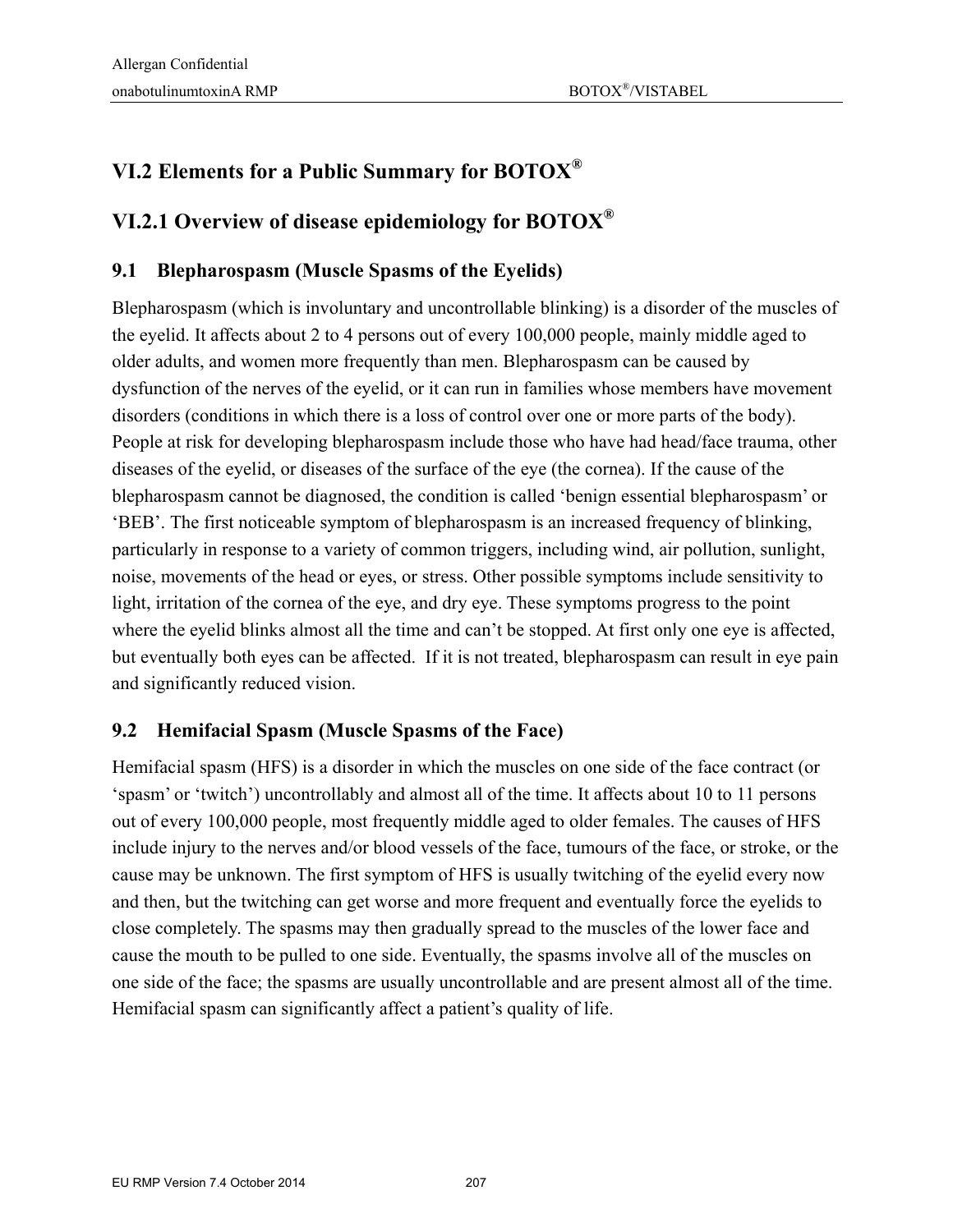# **VI.2 Elements for a Public Summary for BOTOX®**

### **VI.2.1 Overview of disease epidemiology for BOTOX®**

### **9.1 Blepharospasm (Muscle Spasms of the Eyelids)**

Blepharospasm (which is involuntary and uncontrollable blinking) is a disorder of the muscles of the eyelid. It affects about 2 to 4 persons out of every 100,000 people, mainly middle aged to older adults, and women more frequently than men. Blepharospasm can be caused by dysfunction of the nerves of the eyelid, or it can run in families whose members have movement disorders (conditions in which there is a loss of control over one or more parts of the body). People at risk for developing blepharospasm include those who have had head/face trauma, other diseases of the eyelid, or diseases of the surface of the eye (the cornea). If the cause of the blepharospasm cannot be diagnosed, the condition is called 'benign essential blepharospasm' or 'BEB'. The first noticeable symptom of blepharospasm is an increased frequency of blinking, particularly in response to a variety of common triggers, including wind, air pollution, sunlight, noise, movements of the head or eyes, or stress. Other possible symptoms include sensitivity to light, irritation of the cornea of the eye, and dry eye. These symptoms progress to the point where the eyelid blinks almost all the time and can't be stopped. At first only one eye is affected, but eventually both eyes can be affected. If it is not treated, blepharospasm can result in eye pain and significantly reduced vision.

### **9.2 Hemifacial Spasm (Muscle Spasms of the Face)**

Hemifacial spasm (HFS) is a disorder in which the muscles on one side of the face contract (or 'spasm' or 'twitch') uncontrollably and almost all of the time. It affects about 10 to 11 persons out of every 100,000 people, most frequently middle aged to older females. The causes of HFS include injury to the nerves and/or blood vessels of the face, tumours of the face, or stroke, or the cause may be unknown. The first symptom of HFS is usually twitching of the eyelid every now and then, but the twitching can get worse and more frequent and eventually force the eyelids to close completely. The spasms may then gradually spread to the muscles of the lower face and cause the mouth to be pulled to one side. Eventually, the spasms involve all of the muscles on one side of the face; the spasms are usually uncontrollable and are present almost all of the time. Hemifacial spasm can significantly affect a patient's quality of life.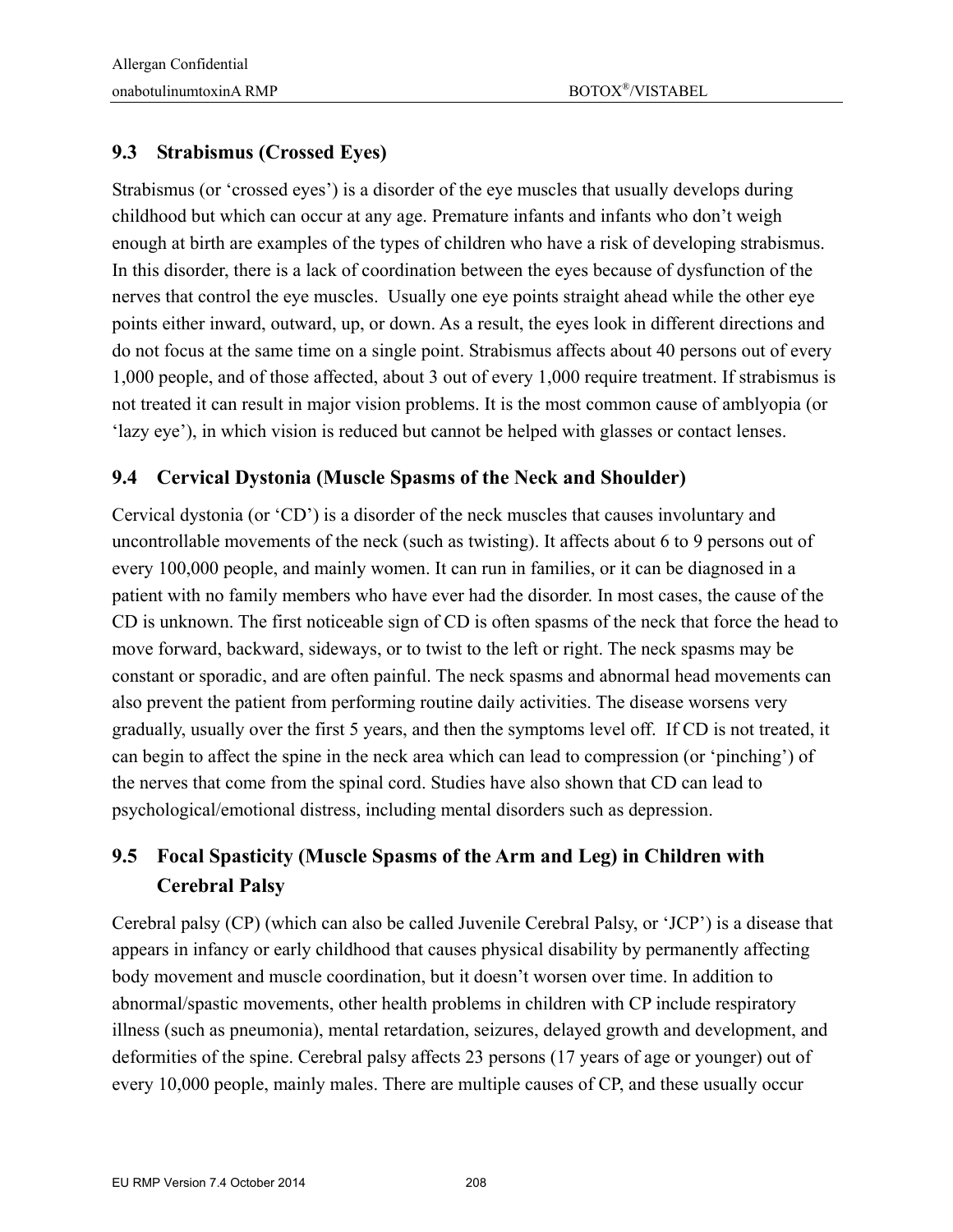### **9.3 Strabismus (Crossed Eyes)**

Strabismus (or 'crossed eyes') is a disorder of the eye muscles that usually develops during childhood but which can occur at any age. Premature infants and infants who don't weigh enough at birth are examples of the types of children who have a risk of developing strabismus. In this disorder, there is a lack of coordination between the eyes because of dysfunction of the nerves that control the eye muscles. Usually one eye points straight ahead while the other eye points either inward, outward, up, or down. As a result, the eyes look in different directions and do not focus at the same time on a single point. Strabismus affects about 40 persons out of every 1,000 people, and of those affected, about 3 out of every 1,000 require treatment. If strabismus is not treated it can result in major vision problems. It is the most common cause of amblyopia (or 'lazy eye'), in which vision is reduced but cannot be helped with glasses or contact lenses.

#### **9.4 Cervical Dystonia (Muscle Spasms of the Neck and Shoulder)**

Cervical dystonia (or 'CD') is a disorder of the neck muscles that causes involuntary and uncontrollable movements of the neck (such as twisting). It affects about 6 to 9 persons out of every 100,000 people, and mainly women. It can run in families, or it can be diagnosed in a patient with no family members who have ever had the disorder. In most cases, the cause of the CD is unknown. The first noticeable sign of CD is often spasms of the neck that force the head to move forward, backward, sideways, or to twist to the left or right. The neck spasms may be constant or sporadic, and are often painful. The neck spasms and abnormal head movements can also prevent the patient from performing routine daily activities. The disease worsens very gradually, usually over the first 5 years, and then the symptoms level off. If CD is not treated, it can begin to affect the spine in the neck area which can lead to compression (or 'pinching') of the nerves that come from the spinal cord. Studies have also shown that CD can lead to psychological/emotional distress, including mental disorders such as depression.

### **9.5 Focal Spasticity (Muscle Spasms of the Arm and Leg) in Children with Cerebral Palsy**

Cerebral palsy (CP) (which can also be called Juvenile Cerebral Palsy, or 'JCP') is a disease that appears in infancy or early childhood that causes physical disability by permanently affecting body movement and muscle coordination, but it doesn't worsen over time. In addition to abnormal/spastic movements, other health problems in children with CP include respiratory illness (such as pneumonia), mental retardation, seizures, delayed growth and development, and deformities of the spine. Cerebral palsy affects 23 persons (17 years of age or younger) out of every 10,000 people, mainly males. There are multiple causes of CP, and these usually occur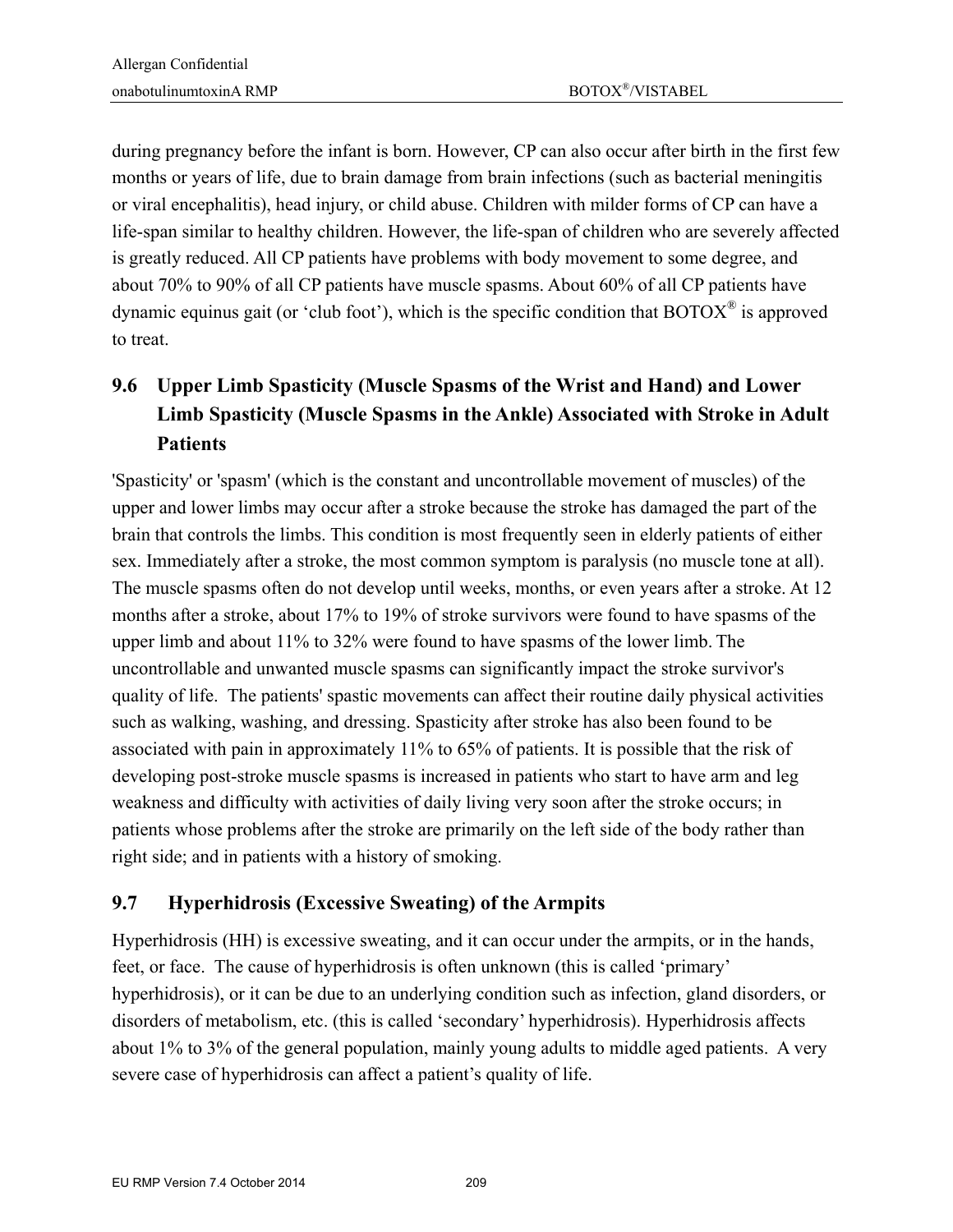during pregnancy before the infant is born. However, CP can also occur after birth in the first few months or years of life, due to brain damage from brain infections (such as bacterial meningitis or viral encephalitis), head injury, or child abuse. Children with milder forms of CP can have a life-span similar to healthy children. However, the life-span of children who are severely affected is greatly reduced. All CP patients have problems with body movement to some degree, and about 70% to 90% of all CP patients have muscle spasms. About 60% of all CP patients have dynamic equinus gait (or 'club foot'), which is the specific condition that  $\text{BOTOX}^{\circledast}$  is approved to treat.

## **9.6 Upper Limb Spasticity (Muscle Spasms of the Wrist and Hand) and Lower Limb Spasticity (Muscle Spasms in the Ankle) Associated with Stroke in Adult Patients**

'Spasticity' or 'spasm' (which is the constant and uncontrollable movement of muscles) of the upper and lower limbs may occur after a stroke because the stroke has damaged the part of the brain that controls the limbs. This condition is most frequently seen in elderly patients of either sex. Immediately after a stroke, the most common symptom is paralysis (no muscle tone at all). The muscle spasms often do not develop until weeks, months, or even years after a stroke. At 12 months after a stroke, about 17% to 19% of stroke survivors were found to have spasms of the upper limb and about 11% to 32% were found to have spasms of the lower limb. The uncontrollable and unwanted muscle spasms can significantly impact the stroke survivor's quality of life. The patients' spastic movements can affect their routine daily physical activities such as walking, washing, and dressing. Spasticity after stroke has also been found to be associated with pain in approximately 11% to 65% of patients. It is possible that the risk of developing post-stroke muscle spasms is increased in patients who start to have arm and leg weakness and difficulty with activities of daily living very soon after the stroke occurs; in patients whose problems after the stroke are primarily on the left side of the body rather than right side; and in patients with a history of smoking.

### **9.7 Hyperhidrosis (Excessive Sweating) of the Armpits**

Hyperhidrosis (HH) is excessive sweating, and it can occur under the armpits, or in the hands, feet, or face. The cause of hyperhidrosis is often unknown (this is called 'primary' hyperhidrosis), or it can be due to an underlying condition such as infection, gland disorders, or disorders of metabolism, etc. (this is called 'secondary' hyperhidrosis). Hyperhidrosis affects about 1% to 3% of the general population, mainly young adults to middle aged patients. A very severe case of hyperhidrosis can affect a patient's quality of life.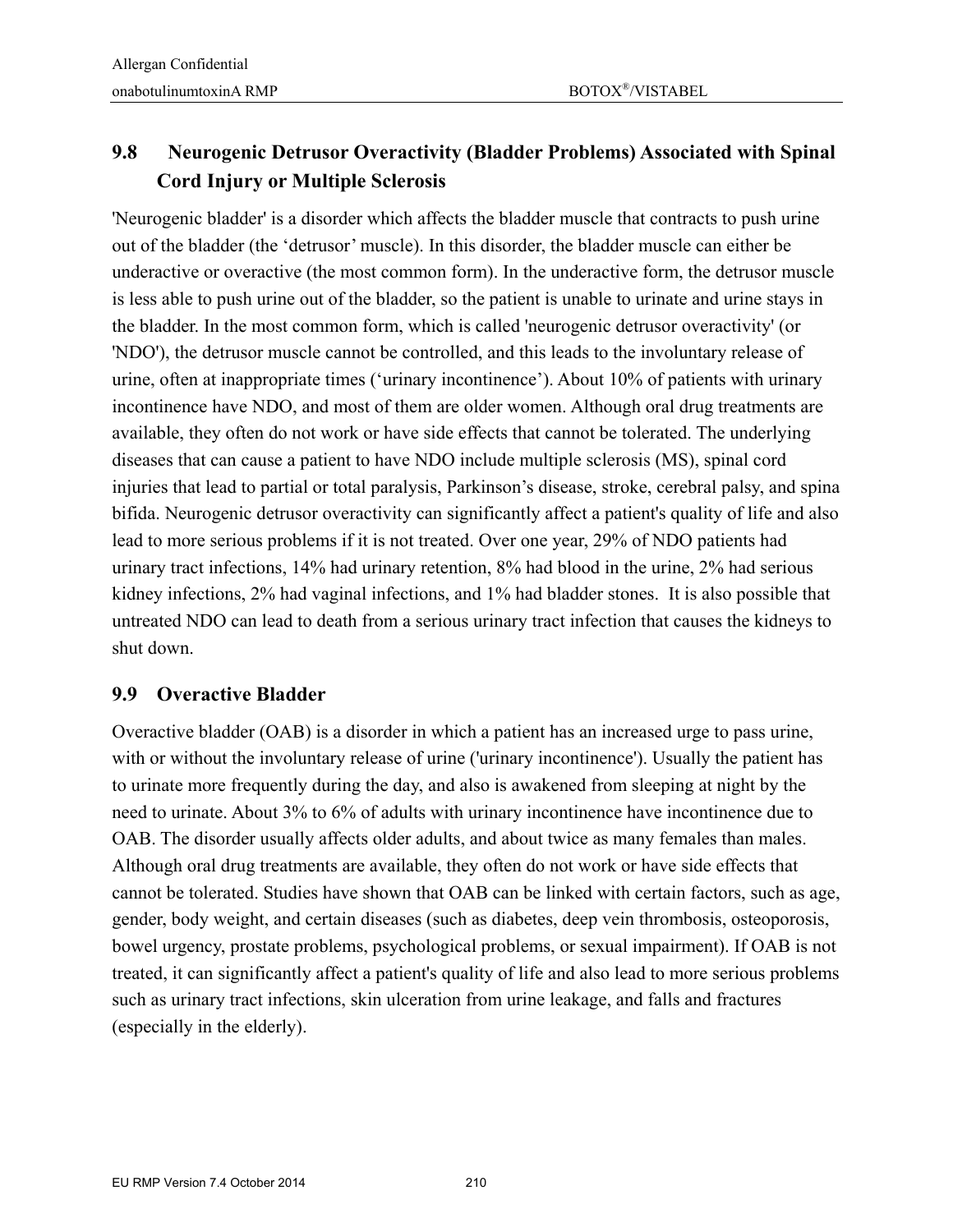### **9.8 Neurogenic Detrusor Overactivity (Bladder Problems) Associated with Spinal Cord Injury or Multiple Sclerosis**

'Neurogenic bladder' is a disorder which affects the bladder muscle that contracts to push urine out of the bladder (the 'detrusor' muscle). In this disorder, the bladder muscle can either be underactive or overactive (the most common form). In the underactive form, the detrusor muscle is less able to push urine out of the bladder, so the patient is unable to urinate and urine stays in the bladder. In the most common form, which is called 'neurogenic detrusor overactivity' (or 'NDO'), the detrusor muscle cannot be controlled, and this leads to the involuntary release of urine, often at inappropriate times ('urinary incontinence'). About 10% of patients with urinary incontinence have NDO, and most of them are older women. Although oral drug treatments are available, they often do not work or have side effects that cannot be tolerated. The underlying diseases that can cause a patient to have NDO include multiple sclerosis (MS), spinal cord injuries that lead to partial or total paralysis, Parkinson's disease, stroke, cerebral palsy, and spina bifida. Neurogenic detrusor overactivity can significantly affect a patient's quality of life and also lead to more serious problems if it is not treated. Over one year, 29% of NDO patients had urinary tract infections, 14% had urinary retention, 8% had blood in the urine, 2% had serious kidney infections, 2% had vaginal infections, and 1% had bladder stones. It is also possible that untreated NDO can lead to death from a serious urinary tract infection that causes the kidneys to shut down.

#### **9.9 Overactive Bladder**

Overactive bladder (OAB) is a disorder in which a patient has an increased urge to pass urine, with or without the involuntary release of urine ('urinary incontinence'). Usually the patient has to urinate more frequently during the day, and also is awakened from sleeping at night by the need to urinate. About 3% to 6% of adults with urinary incontinence have incontinence due to OAB. The disorder usually affects older adults, and about twice as many females than males. Although oral drug treatments are available, they often do not work or have side effects that cannot be tolerated. Studies have shown that OAB can be linked with certain factors, such as age, gender, body weight, and certain diseases (such as diabetes, deep vein thrombosis, osteoporosis, bowel urgency, prostate problems, psychological problems, or sexual impairment). If OAB is not treated, it can significantly affect a patient's quality of life and also lead to more serious problems such as urinary tract infections, skin ulceration from urine leakage, and falls and fractures (especially in the elderly).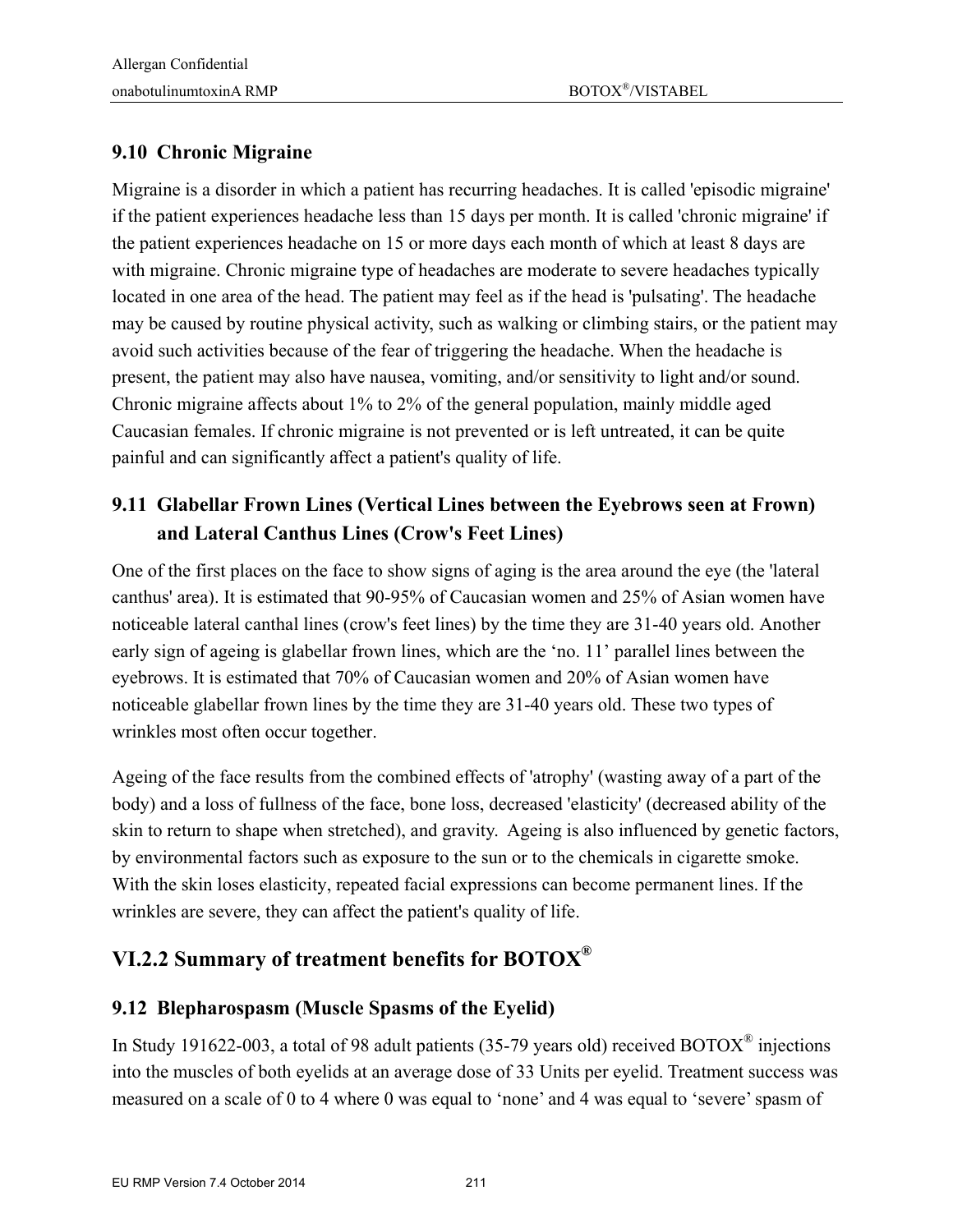### **9.10 Chronic Migraine**

Migraine is a disorder in which a patient has recurring headaches. It is called 'episodic migraine' if the patient experiences headache less than 15 days per month. It is called 'chronic migraine' if the patient experiences headache on 15 or more days each month of which at least 8 days are with migraine. Chronic migraine type of headaches are moderate to severe headaches typically located in one area of the head. The patient may feel as if the head is 'pulsating'. The headache may be caused by routine physical activity, such as walking or climbing stairs, or the patient may avoid such activities because of the fear of triggering the headache. When the headache is present, the patient may also have nausea, vomiting, and/or sensitivity to light and/or sound. Chronic migraine affects about 1% to 2% of the general population, mainly middle aged Caucasian females. If chronic migraine is not prevented or is left untreated, it can be quite painful and can significantly affect a patient's quality of life.

### **9.11 Glabellar Frown Lines (Vertical Lines between the Eyebrows seen at Frown) and Lateral Canthus Lines (Crow's Feet Lines)**

One of the first places on the face to show signs of aging is the area around the eye (the 'lateral canthus' area). It is estimated that 90-95% of Caucasian women and 25% of Asian women have noticeable lateral canthal lines (crow's feet lines) by the time they are 31-40 years old. Another early sign of ageing is glabellar frown lines, which are the 'no. 11' parallel lines between the eyebrows. It is estimated that 70% of Caucasian women and 20% of Asian women have noticeable glabellar frown lines by the time they are 31-40 years old. These two types of wrinkles most often occur together.

Ageing of the face results from the combined effects of 'atrophy' (wasting away of a part of the body) and a loss of fullness of the face, bone loss, decreased 'elasticity' (decreased ability of the skin to return to shape when stretched), and gravity. Ageing is also influenced by genetic factors, by environmental factors such as exposure to the sun or to the chemicals in cigarette smoke. With the skin loses elasticity, repeated facial expressions can become permanent lines. If the wrinkles are severe, they can affect the patient's quality of life.

## **VI.2.2 Summary of treatment benefits for BOTOX®**

### **9.12 Blepharospasm (Muscle Spasms of the Eyelid)**

In Study 191622-003, a total of 98 adult patients (35-79 years old) received BOTOX<sup>®</sup> injections into the muscles of both eyelids at an average dose of 33 Units per eyelid. Treatment success was measured on a scale of 0 to 4 where 0 was equal to 'none' and 4 was equal to 'severe' spasm of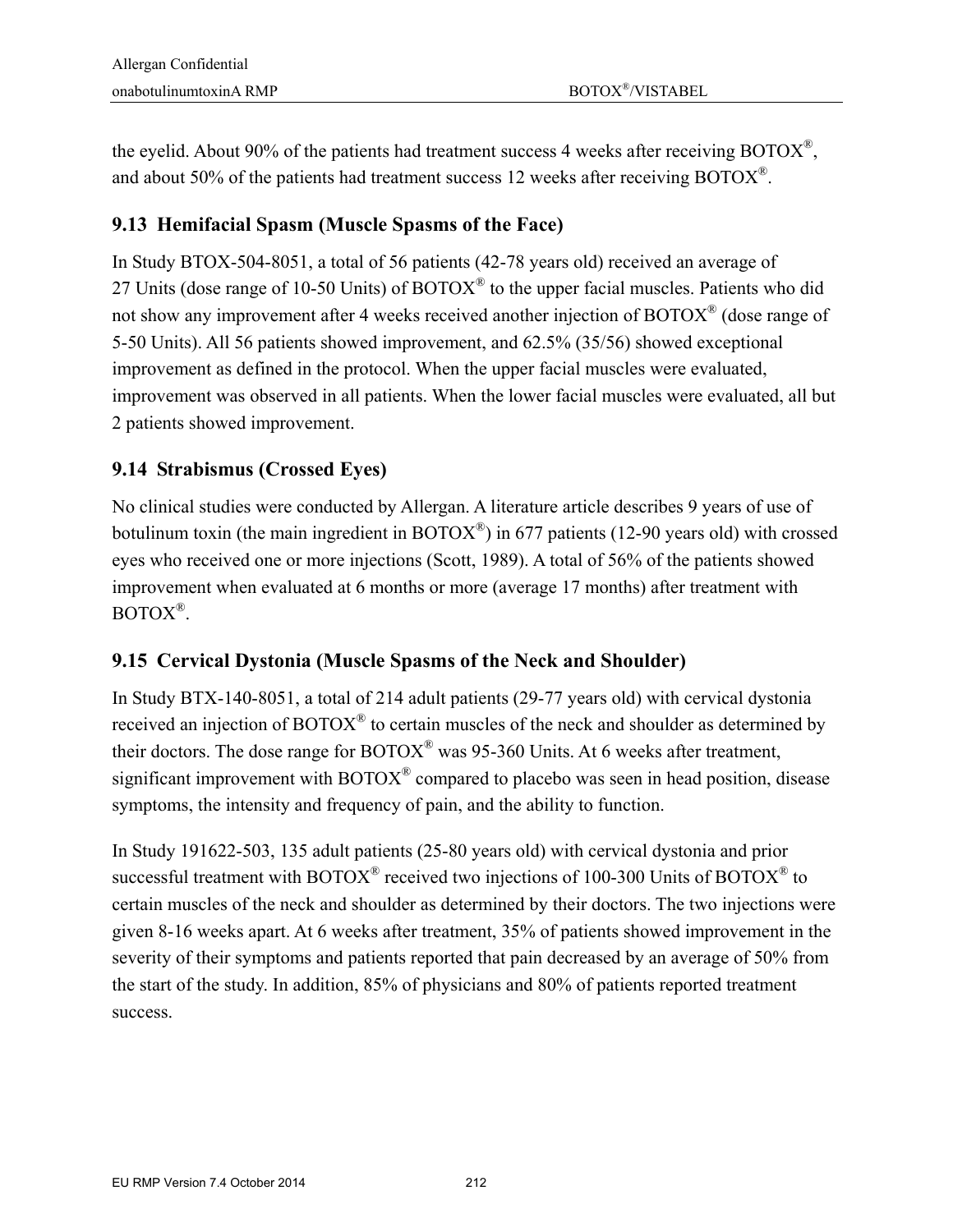the eyelid. About 90% of the patients had treatment success 4 weeks after receiving BOTOX®, and about 50% of the patients had treatment success 12 weeks after receiving BOTOX®.

#### **9.13 Hemifacial Spasm (Muscle Spasms of the Face)**

In Study BTOX-504-8051, a total of 56 patients (42-78 years old) received an average of 27 Units (dose range of 10-50 Units) of  $BOTOX^{\circledast}$  to the upper facial muscles. Patients who did not show any improvement after 4 weeks received another injection of BOTOX® (dose range of 5-50 Units). All 56 patients showed improvement, and 62.5% (35/56) showed exceptional improvement as defined in the protocol. When the upper facial muscles were evaluated, improvement was observed in all patients. When the lower facial muscles were evaluated, all but 2 patients showed improvement.

### **9.14 Strabismus (Crossed Eyes)**

No clinical studies were conducted by Allergan. A literature article describes 9 years of use of botulinum toxin (the main ingredient in  $\text{BOTOX}^{\circledast}$ ) in 677 patients (12-90 years old) with crossed eyes who received one or more injections (Scott, 1989). A total of 56% of the patients showed improvement when evaluated at 6 months or more (average 17 months) after treatment with BOTOX®.

### **9.15 Cervical Dystonia (Muscle Spasms of the Neck and Shoulder)**

In Study BTX-140-8051, a total of 214 adult patients (29-77 years old) with cervical dystonia received an injection of BOTOX<sup>®</sup> to certain muscles of the neck and shoulder as determined by their doctors. The dose range for  $BOTOX^{\circledast}$  was 95-360 Units. At 6 weeks after treatment, significant improvement with  $BOTOX^{\circledast}$  compared to placebo was seen in head position, disease symptoms, the intensity and frequency of pain, and the ability to function.

In Study 191622-503, 135 adult patients (25-80 years old) with cervical dystonia and prior successful treatment with BOTOX<sup>®</sup> received two injections of 100-300 Units of BOTOX<sup>®</sup> to certain muscles of the neck and shoulder as determined by their doctors. The two injections were given 8-16 weeks apart. At 6 weeks after treatment, 35% of patients showed improvement in the severity of their symptoms and patients reported that pain decreased by an average of 50% from the start of the study. In addition, 85% of physicians and 80% of patients reported treatment success.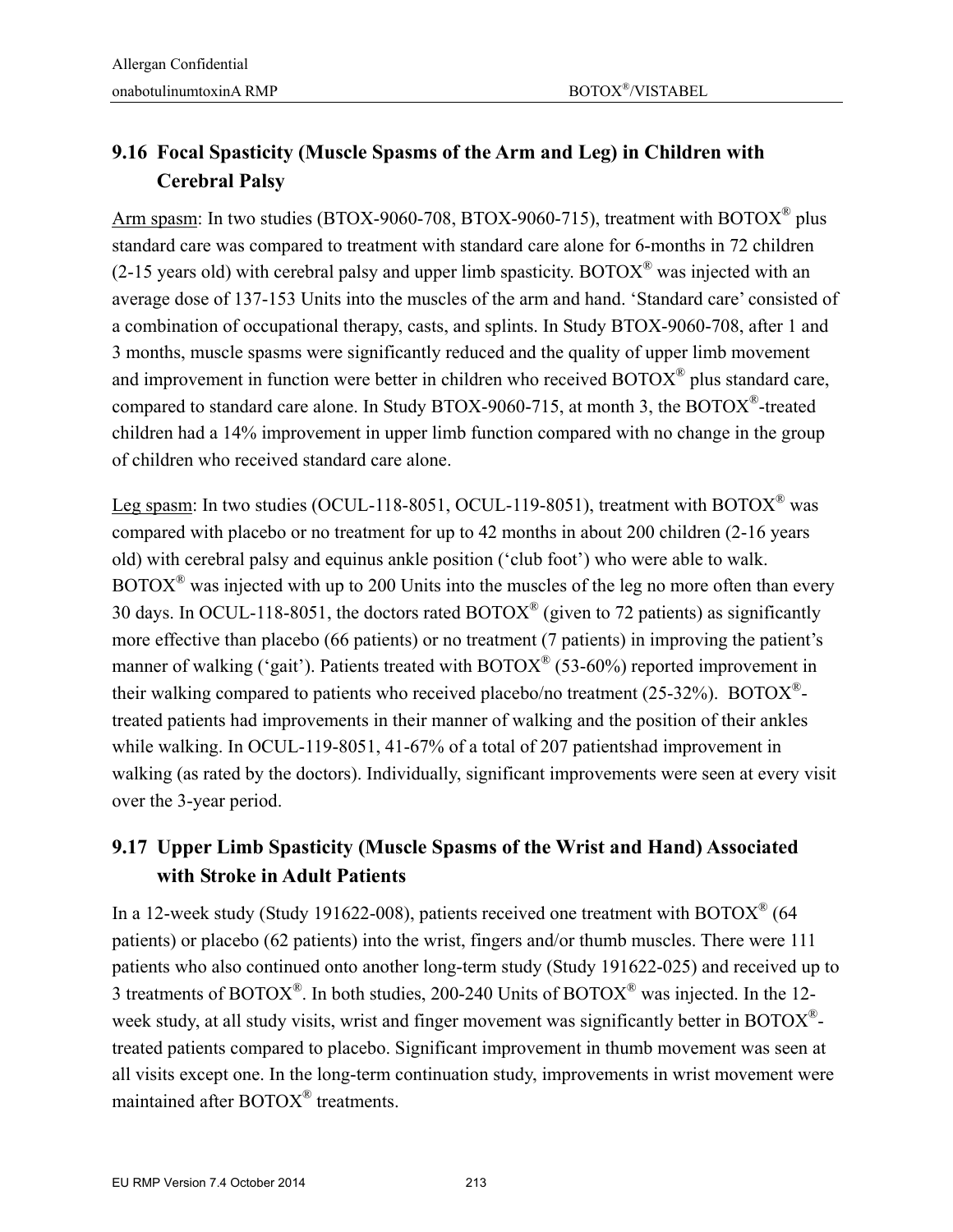## **9.16 Focal Spasticity (Muscle Spasms of the Arm and Leg) in Children with Cerebral Palsy**

Arm spasm: In two studies (BTOX-9060-708, BTOX-9060-715), treatment with BOTOX® plus standard care was compared to treatment with standard care alone for 6-months in 72 children (2-15 years old) with cerebral palsy and upper limb spasticity. BOTOX<sup>®</sup> was injected with an average dose of 137-153 Units into the muscles of the arm and hand. 'Standard care' consisted of a combination of occupational therapy, casts, and splints. In Study BTOX-9060-708, after 1 and 3 months, muscle spasms were significantly reduced and the quality of upper limb movement and improvement in function were better in children who received BOTOX® plus standard care, compared to standard care alone. In Study BTOX-9060-715, at month 3, the BOTOX®-treated children had a 14% improvement in upper limb function compared with no change in the group of children who received standard care alone.

Leg spasm: In two studies (OCUL-118-8051, OCUL-119-8051), treatment with BOTOX<sup>®</sup> was compared with placebo or no treatment for up to 42 months in about 200 children (2-16 years old) with cerebral palsy and equinus ankle position ('club foot') who were able to walk.  $BOTOX^{\circledast}$  was injected with up to 200 Units into the muscles of the leg no more often than every 30 days. In OCUL-118-8051, the doctors rated  $\text{BOTOX}^{\circledR}$  (given to 72 patients) as significantly more effective than placebo (66 patients) or no treatment (7 patients) in improving the patient's manner of walking ('gait'). Patients treated with  $\text{BOTOX}^{\circledast}$  (53-60%) reported improvement in their walking compared to patients who received placebo/no treatment  $(25-32%)$ . BOTOX<sup>®</sup>treated patients had improvements in their manner of walking and the position of their ankles while walking. In OCUL-119-8051, 41-67% of a total of 207 patientshad improvement in walking (as rated by the doctors). Individually, significant improvements were seen at every visit over the 3-year period.

### **9.17 Upper Limb Spasticity (Muscle Spasms of the Wrist and Hand) Associated with Stroke in Adult Patients**

In a 12-week study (Study 191622-008), patients received one treatment with BOTOX® (64 patients) or placebo (62 patients) into the wrist, fingers and/or thumb muscles. There were 111 patients who also continued onto another long-term study (Study 191622-025) and received up to 3 treatments of BOTOX®. In both studies, 200-240 Units of BOTOX® was injected. In the 12 week study, at all study visits, wrist and finger movement was significantly better in BOTOX<sup>®</sup>treated patients compared to placebo. Significant improvement in thumb movement was seen at all visits except one. In the long-term continuation study, improvements in wrist movement were maintained after BOTOX® treatments.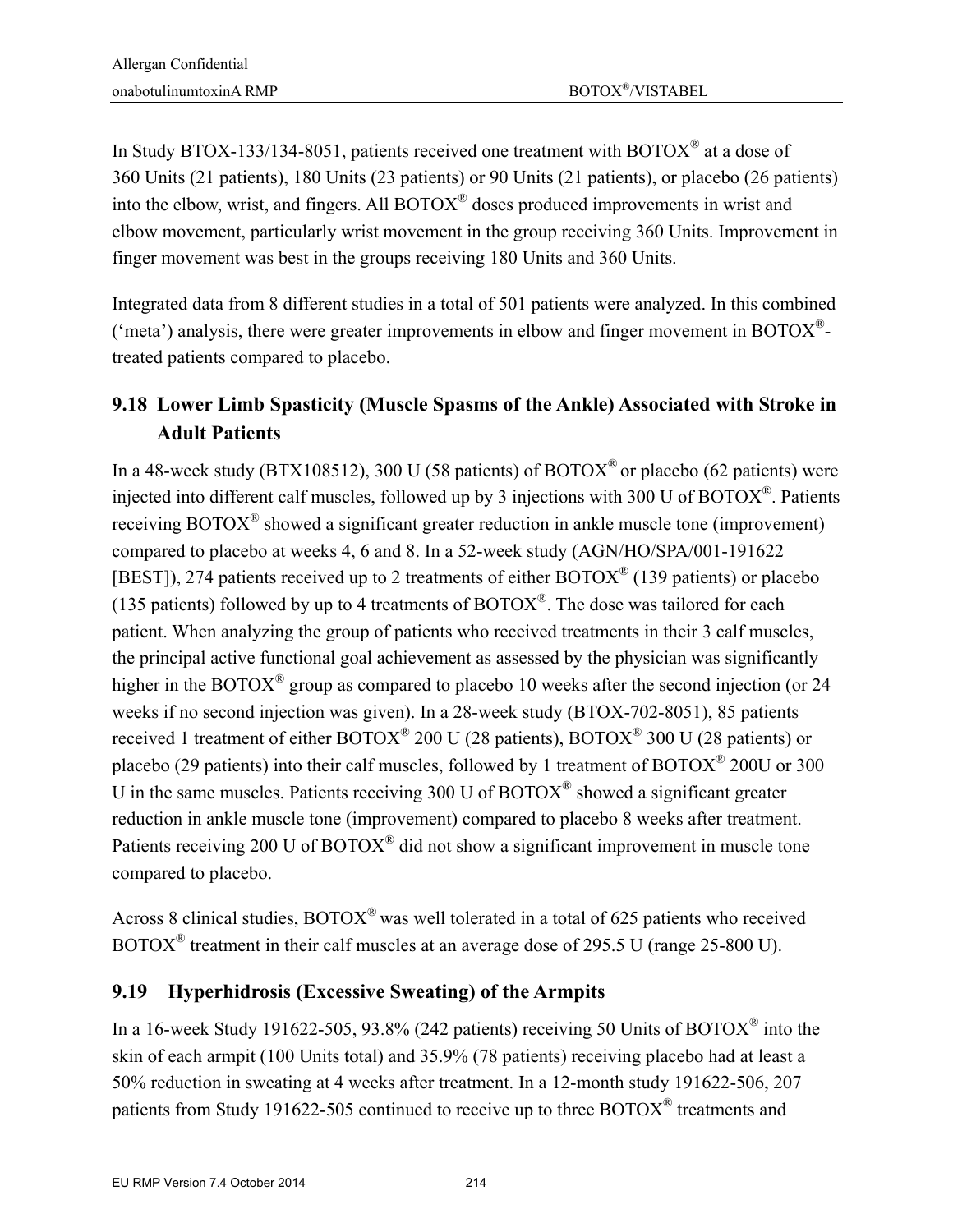In Study BTOX-133/134-8051, patients received one treatment with BOTOX<sup>®</sup> at a dose of 360 Units (21 patients), 180 Units (23 patients) or 90 Units (21 patients), or placebo (26 patients) into the elbow, wrist, and fingers. All BOTOX® doses produced improvements in wrist and elbow movement, particularly wrist movement in the group receiving 360 Units. Improvement in finger movement was best in the groups receiving 180 Units and 360 Units.

Integrated data from 8 different studies in a total of 501 patients were analyzed. In this combined ('meta') analysis, there were greater improvements in elbow and finger movement in BOTOX $^{\circ}$ treated patients compared to placebo.

## **9.18 Lower Limb Spasticity (Muscle Spasms of the Ankle) Associated with Stroke in Adult Patients**

In a 48-week study (BTX108512), 300 U (58 patients) of BOTOX<sup>®</sup> or placebo (62 patients) were injected into different calf muscles, followed up by 3 injections with 300 U of BOTOX®. Patients receiving BOTOX<sup>®</sup> showed a significant greater reduction in ankle muscle tone (improvement) compared to placebo at weeks 4, 6 and 8. In a 52-week study (AGN/HO/SPA/001-191622 [BEST]), 274 patients received up to 2 treatments of either  $\text{BOTOX}^{\circledast}$  (139 patients) or placebo (135 patients) followed by up to 4 treatments of  $\text{BOTOX}^{\circledR}$ . The dose was tailored for each patient. When analyzing the group of patients who received treatments in their 3 calf muscles, the principal active functional goal achievement as assessed by the physician was significantly higher in the BOTOX<sup>®</sup> group as compared to placebo 10 weeks after the second injection (or 24 weeks if no second injection was given). In a 28-week study (BTOX-702-8051), 85 patients received 1 treatment of either BOTOX® 200 U (28 patients), BOTOX® 300 U (28 patients) or placebo (29 patients) into their calf muscles, followed by 1 treatment of BOTOX® 200U or 300 U in the same muscles. Patients receiving 300 U of  $BOTOX^{\circ}$  showed a significant greater reduction in ankle muscle tone (improvement) compared to placebo 8 weeks after treatment. Patients receiving 200 U of BOTOX<sup>®</sup> did not show a significant improvement in muscle tone compared to placebo.

Across 8 clinical studies, BOTOX® was well tolerated in a total of 625 patients who received BOTOX® treatment in their calf muscles at an average dose of 295.5 U (range 25-800 U).

### **9.19 Hyperhidrosis (Excessive Sweating) of the Armpits**

In a 16-week Study 191622-505, 93.8% (242 patients) receiving 50 Units of BOTOX<sup>®</sup> into the skin of each armpit (100 Units total) and 35.9% (78 patients) receiving placebo had at least a 50% reduction in sweating at 4 weeks after treatment. In a 12-month study 191622-506, 207 patients from Study 191622-505 continued to receive up to three BOTOX® treatments and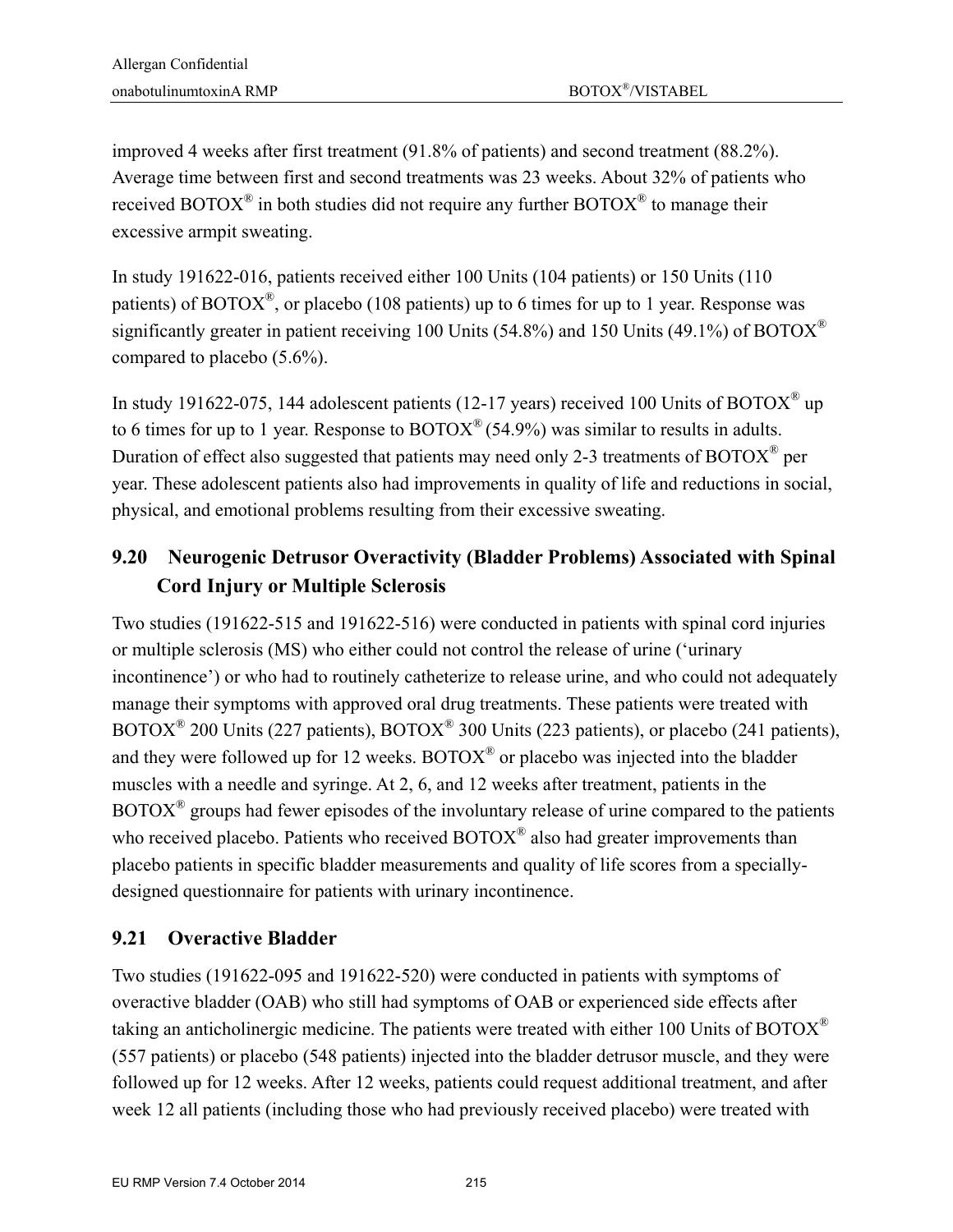improved 4 weeks after first treatment (91.8% of patients) and second treatment (88.2%). Average time between first and second treatments was 23 weeks. About 32% of patients who received BOTOX<sup>®</sup> in both studies did not require any further BOTOX<sup>®</sup> to manage their excessive armpit sweating.

In study 191622-016, patients received either 100 Units (104 patients) or 150 Units (110 patients) of BOTOX<sup>®</sup>, or placebo (108 patients) up to 6 times for up to 1 year. Response was significantly greater in patient receiving 100 Units (54.8%) and 150 Units (49.1%) of BOTOX<sup>®</sup> compared to placebo (5.6%).

In study 191622-075, 144 adolescent patients (12-17 years) received 100 Units of BOTOX<sup>®</sup> up to 6 times for up to 1 year. Response to  $\text{BOTOX}^{\circledast}$  (54.9%) was similar to results in adults. Duration of effect also suggested that patients may need only 2-3 treatments of BOTOX® per year. These adolescent patients also had improvements in quality of life and reductions in social, physical, and emotional problems resulting from their excessive sweating.

### **9.20 Neurogenic Detrusor Overactivity (Bladder Problems) Associated with Spinal Cord Injury or Multiple Sclerosis**

Two studies (191622-515 and 191622-516) were conducted in patients with spinal cord injuries or multiple sclerosis (MS) who either could not control the release of urine ('urinary incontinence') or who had to routinely catheterize to release urine, and who could not adequately manage their symptoms with approved oral drug treatments. These patients were treated with BOTOX® 200 Units (227 patients), BOTOX® 300 Units (223 patients), or placebo (241 patients), and they were followed up for 12 weeks.  $BOTOX^{\circledast}$  or placebo was injected into the bladder muscles with a needle and syringe. At 2, 6, and 12 weeks after treatment, patients in the  $BOTOX^{\circledast}$  groups had fewer episodes of the involuntary release of urine compared to the patients who received placebo. Patients who received BOTOX<sup>®</sup> also had greater improvements than placebo patients in specific bladder measurements and quality of life scores from a speciallydesigned questionnaire for patients with urinary incontinence.

### **9.21 Overactive Bladder**

Two studies (191622-095 and 191622-520) were conducted in patients with symptoms of overactive bladder (OAB) who still had symptoms of OAB or experienced side effects after taking an anticholinergic medicine. The patients were treated with either 100 Units of BOTOX<sup>®</sup> (557 patients) or placebo (548 patients) injected into the bladder detrusor muscle, and they were followed up for 12 weeks. After 12 weeks, patients could request additional treatment, and after week 12 all patients (including those who had previously received placebo) were treated with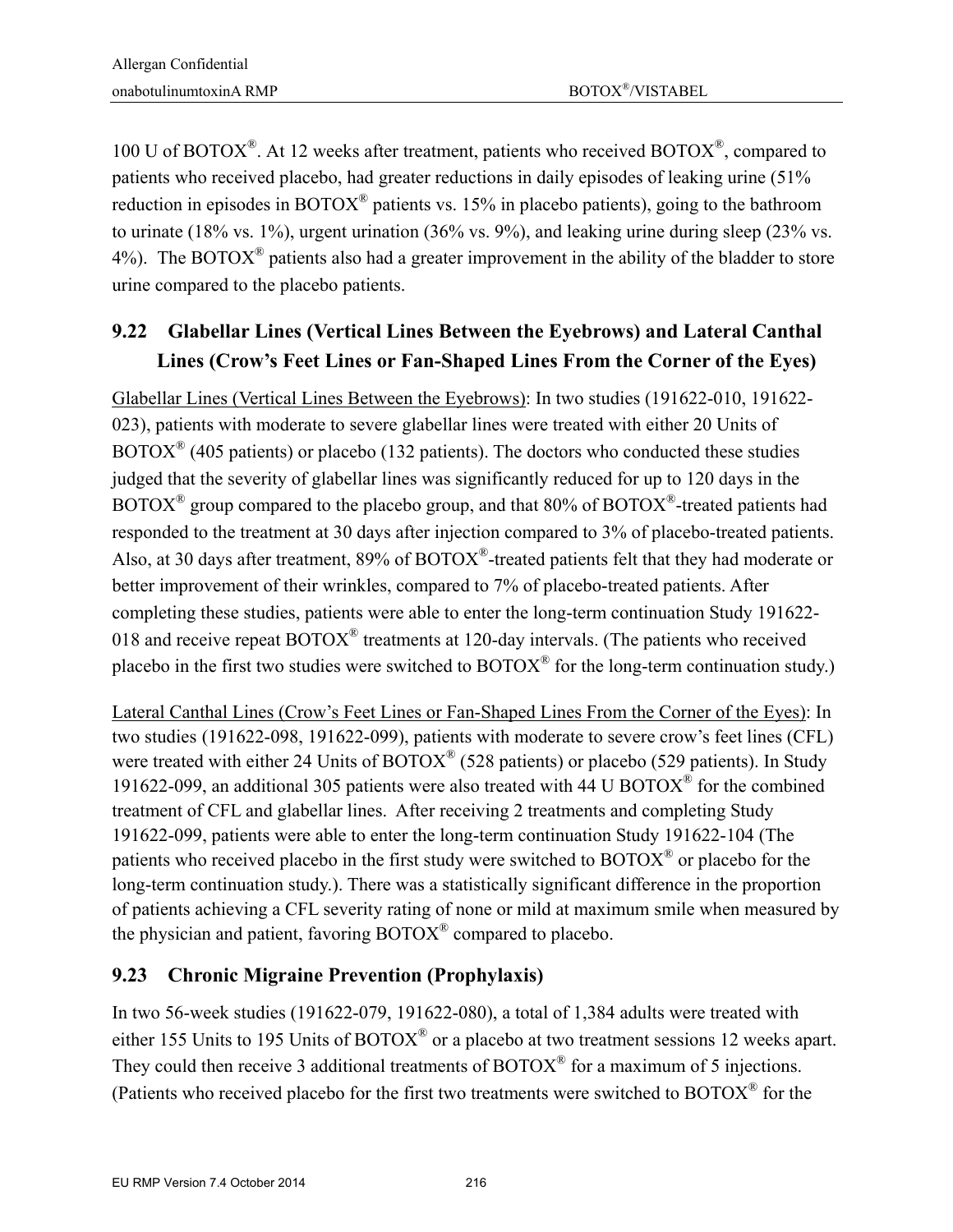100 U of BOTOX<sup>®</sup>. At 12 weeks after treatment, patients who received BOTOX<sup>®</sup>, compared to patients who received placebo, had greater reductions in daily episodes of leaking urine (51% reduction in episodes in BOTOX® patients vs. 15% in placebo patients), going to the bathroom to urinate (18% vs. 1%), urgent urination (36% vs. 9%), and leaking urine during sleep (23% vs. 4%). The BOTOX<sup>®</sup> patients also had a greater improvement in the ability of the bladder to store urine compared to the placebo patients.

## **9.22 Glabellar Lines (Vertical Lines Between the Eyebrows) and Lateral Canthal Lines (Crow's Feet Lines or Fan-Shaped Lines From the Corner of the Eyes)**

Glabellar Lines (Vertical Lines Between the Eyebrows): In two studies (191622-010, 191622- 023), patients with moderate to severe glabellar lines were treated with either 20 Units of  $BOTOX^{\circledast}$  (405 patients) or placebo (132 patients). The doctors who conducted these studies judged that the severity of glabellar lines was significantly reduced for up to 120 days in the  $BOTOX^{\circledast}$  group compared to the placebo group, and that 80% of  $BOTOX^{\circledast}$ -treated patients had responded to the treatment at 30 days after injection compared to 3% of placebo-treated patients. Also, at 30 days after treatment, 89% of BOTOX®-treated patients felt that they had moderate or better improvement of their wrinkles, compared to 7% of placebo-treated patients. After completing these studies, patients were able to enter the long-term continuation Study 191622- 018 and receive repeat BOTOX<sup>®</sup> treatments at 120-day intervals. (The patients who received placebo in the first two studies were switched to  $BOTOX^{\circledast}$  for the long-term continuation study.)

Lateral Canthal Lines (Crow's Feet Lines or Fan-Shaped Lines From the Corner of the Eyes): In two studies (191622-098, 191622-099), patients with moderate to severe crow's feet lines (CFL) were treated with either 24 Units of BOTOX<sup>®</sup> (528 patients) or placebo (529 patients). In Study 191622-099, an additional 305 patients were also treated with 44 U BOTOX® for the combined treatment of CFL and glabellar lines. After receiving 2 treatments and completing Study 191622-099, patients were able to enter the long-term continuation Study 191622-104 (The patients who received placebo in the first study were switched to BOTOX® or placebo for the long-term continuation study.). There was a statistically significant difference in the proportion of patients achieving a CFL severity rating of none or mild at maximum smile when measured by the physician and patient, favoring  $\text{BOTOX}^{\circledR}$  compared to placebo.

### **9.23 Chronic Migraine Prevention (Prophylaxis)**

In two 56-week studies (191622-079, 191622-080), a total of 1,384 adults were treated with either 155 Units to 195 Units of BOTOX<sup>®</sup> or a placebo at two treatment sessions 12 weeks apart. They could then receive 3 additional treatments of  $BOTOX^{\circledast}$  for a maximum of 5 injections. (Patients who received placebo for the first two treatments were switched to BOTOX® for the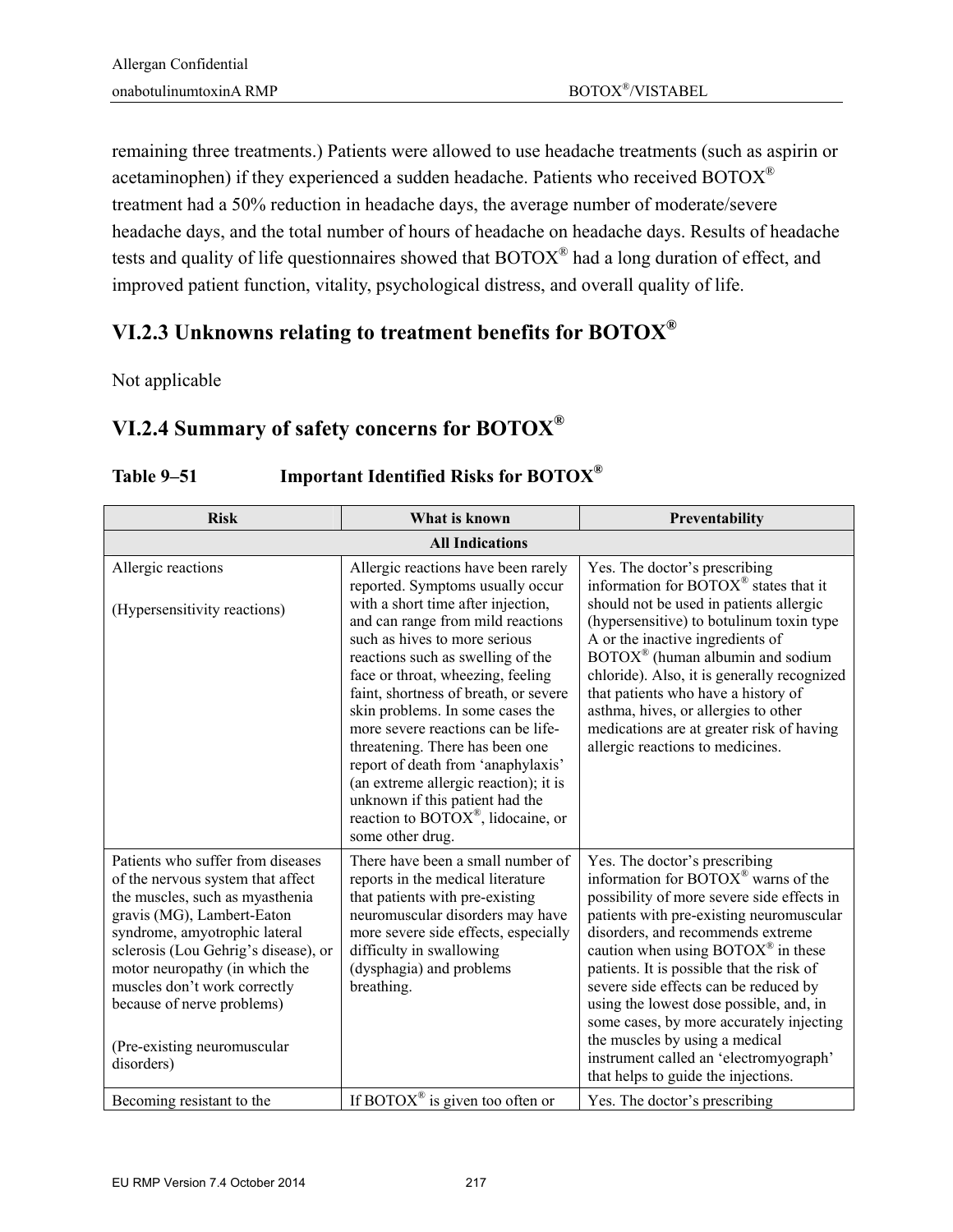remaining three treatments.) Patients were allowed to use headache treatments (such as aspirin or acetaminophen) if they experienced a sudden headache. Patients who received BOTOX® treatment had a 50% reduction in headache days, the average number of moderate/severe headache days, and the total number of hours of headache on headache days. Results of headache tests and quality of life questionnaires showed that BOTOX® had a long duration of effect, and improved patient function, vitality, psychological distress, and overall quality of life.

### **VI.2.3 Unknowns relating to treatment benefits for BOTOX®**

Not applicable

# **VI.2.4 Summary of safety concerns for BOTOX®**

| <b>Risk</b>                                                                                                                                                                                                                                                                                                                                                   | What is known                                                                                                                                                                                                                                                                                                                                                                                                                                                                                                                                                                                  | Preventability                                                                                                                                                                                                                                                                                                                                                                                                                                                                                                                                                              |  |
|---------------------------------------------------------------------------------------------------------------------------------------------------------------------------------------------------------------------------------------------------------------------------------------------------------------------------------------------------------------|------------------------------------------------------------------------------------------------------------------------------------------------------------------------------------------------------------------------------------------------------------------------------------------------------------------------------------------------------------------------------------------------------------------------------------------------------------------------------------------------------------------------------------------------------------------------------------------------|-----------------------------------------------------------------------------------------------------------------------------------------------------------------------------------------------------------------------------------------------------------------------------------------------------------------------------------------------------------------------------------------------------------------------------------------------------------------------------------------------------------------------------------------------------------------------------|--|
|                                                                                                                                                                                                                                                                                                                                                               | <b>All Indications</b>                                                                                                                                                                                                                                                                                                                                                                                                                                                                                                                                                                         |                                                                                                                                                                                                                                                                                                                                                                                                                                                                                                                                                                             |  |
| Allergic reactions<br>(Hypersensitivity reactions)                                                                                                                                                                                                                                                                                                            | Allergic reactions have been rarely<br>reported. Symptoms usually occur<br>with a short time after injection,<br>and can range from mild reactions<br>such as hives to more serious<br>reactions such as swelling of the<br>face or throat, wheezing, feeling<br>faint, shortness of breath, or severe<br>skin problems. In some cases the<br>more severe reactions can be life-<br>threatening. There has been one<br>report of death from 'anaphylaxis'<br>(an extreme allergic reaction); it is<br>unknown if this patient had the<br>reaction to BOTOX®, lidocaine, or<br>some other drug. | Yes. The doctor's prescribing<br>information for BOTOX <sup>®</sup> states that it<br>should not be used in patients allergic<br>(hypersensitive) to botulinum toxin type<br>A or the inactive ingredients of<br>$\text{BOTOX}^{\circledast}$ (human albumin and sodium<br>chloride). Also, it is generally recognized<br>that patients who have a history of<br>asthma, hives, or allergies to other<br>medications are at greater risk of having<br>allergic reactions to medicines.                                                                                      |  |
| Patients who suffer from diseases<br>of the nervous system that affect<br>the muscles, such as myasthenia<br>gravis (MG), Lambert-Eaton<br>syndrome, amyotrophic lateral<br>sclerosis (Lou Gehrig's disease), or<br>motor neuropathy (in which the<br>muscles don't work correctly<br>because of nerve problems)<br>(Pre-existing neuromuscular<br>disorders) | There have been a small number of<br>reports in the medical literature<br>that patients with pre-existing<br>neuromuscular disorders may have<br>more severe side effects, especially<br>difficulty in swallowing<br>(dysphagia) and problems<br>breathing.                                                                                                                                                                                                                                                                                                                                    | Yes. The doctor's prescribing<br>information for BOTOX <sup>®</sup> warns of the<br>possibility of more severe side effects in<br>patients with pre-existing neuromuscular<br>disorders, and recommends extreme<br>caution when using $\text{BOTOX}^{\circledast}$ in these<br>patients. It is possible that the risk of<br>severe side effects can be reduced by<br>using the lowest dose possible, and, in<br>some cases, by more accurately injecting<br>the muscles by using a medical<br>instrument called an 'electromyograph'<br>that helps to guide the injections. |  |
| Becoming resistant to the                                                                                                                                                                                                                                                                                                                                     | If BOTOX <sup>®</sup> is given too often or                                                                                                                                                                                                                                                                                                                                                                                                                                                                                                                                                    | Yes. The doctor's prescribing                                                                                                                                                                                                                                                                                                                                                                                                                                                                                                                                               |  |

#### **Table 9–51 Important Identified Risks for BOTOX®**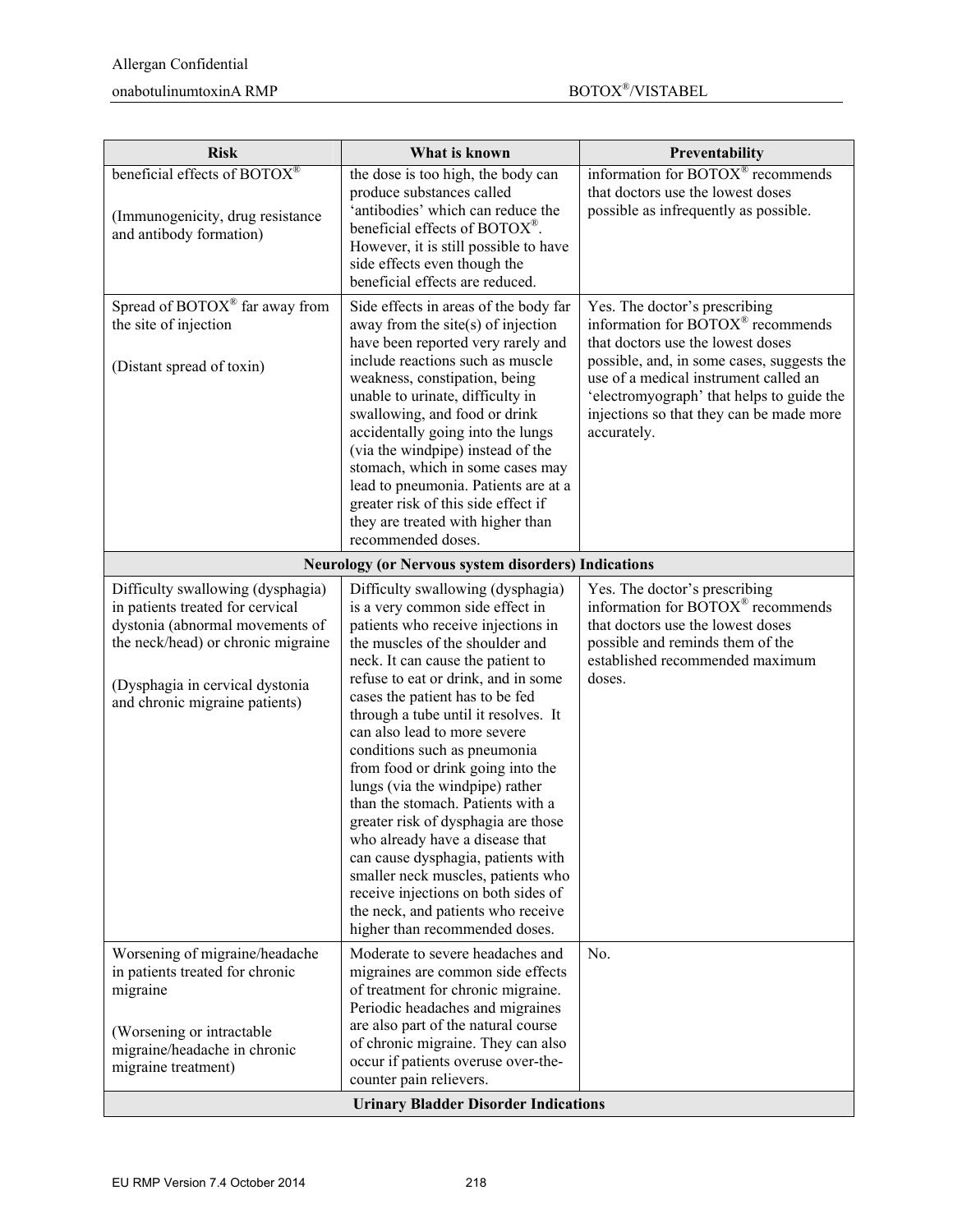| <b>Risk</b>                                                                                                                                                                                                         | What is known                                                                                                                                                                                                                                                                                                                                                                                                                                                                                                                                                                                                                                                                                                                                          | Preventability                                                                                                                                                                                                                                                                                         |
|---------------------------------------------------------------------------------------------------------------------------------------------------------------------------------------------------------------------|--------------------------------------------------------------------------------------------------------------------------------------------------------------------------------------------------------------------------------------------------------------------------------------------------------------------------------------------------------------------------------------------------------------------------------------------------------------------------------------------------------------------------------------------------------------------------------------------------------------------------------------------------------------------------------------------------------------------------------------------------------|--------------------------------------------------------------------------------------------------------------------------------------------------------------------------------------------------------------------------------------------------------------------------------------------------------|
| beneficial effects of BOTOX®<br>(Immunogenicity, drug resistance<br>and antibody formation)                                                                                                                         | the dose is too high, the body can<br>produce substances called<br>'antibodies' which can reduce the<br>beneficial effects of BOTOX®.<br>However, it is still possible to have<br>side effects even though the<br>beneficial effects are reduced.                                                                                                                                                                                                                                                                                                                                                                                                                                                                                                      | information for BOTOX® recommends<br>that doctors use the lowest doses<br>possible as infrequently as possible.                                                                                                                                                                                        |
| Spread of BOTOX® far away from<br>the site of injection<br>(Distant spread of toxin)                                                                                                                                | Side effects in areas of the body far<br>away from the site $(s)$ of injection<br>have been reported very rarely and<br>include reactions such as muscle<br>weakness, constipation, being<br>unable to urinate, difficulty in<br>swallowing, and food or drink<br>accidentally going into the lungs<br>(via the windpipe) instead of the<br>stomach, which in some cases may<br>lead to pneumonia. Patients are at a<br>greater risk of this side effect if<br>they are treated with higher than<br>recommended doses.                                                                                                                                                                                                                                 | Yes. The doctor's prescribing<br>information for BOTOX® recommends<br>that doctors use the lowest doses<br>possible, and, in some cases, suggests the<br>use of a medical instrument called an<br>'electromyograph' that helps to guide the<br>injections so that they can be made more<br>accurately. |
|                                                                                                                                                                                                                     | <b>Neurology (or Nervous system disorders) Indications</b>                                                                                                                                                                                                                                                                                                                                                                                                                                                                                                                                                                                                                                                                                             |                                                                                                                                                                                                                                                                                                        |
| Difficulty swallowing (dysphagia)<br>in patients treated for cervical<br>dystonia (abnormal movements of<br>the neck/head) or chronic migraine<br>(Dysphagia in cervical dystonia<br>and chronic migraine patients) | Difficulty swallowing (dysphagia)<br>is a very common side effect in<br>patients who receive injections in<br>the muscles of the shoulder and<br>neck. It can cause the patient to<br>refuse to eat or drink, and in some<br>cases the patient has to be fed<br>through a tube until it resolves. It<br>can also lead to more severe<br>conditions such as pneumonia<br>from food or drink going into the<br>lungs (via the windpipe) rather<br>than the stomach. Patients with a<br>greater risk of dysphagia are those<br>who already have a disease that<br>can cause dysphagia, patients with<br>smaller neck muscles, patients who<br>receive injections on both sides of<br>the neck, and patients who receive<br>higher than recommended doses. | Yes. The doctor's prescribing<br>information for BOTOX® recommends<br>that doctors use the lowest doses<br>possible and reminds them of the<br>established recommended maximum<br>doses.                                                                                                               |
| Worsening of migraine/headache<br>in patients treated for chronic<br>migraine<br>(Worsening or intractable                                                                                                          | Moderate to severe headaches and<br>migraines are common side effects<br>of treatment for chronic migraine.<br>Periodic headaches and migraines<br>are also part of the natural course                                                                                                                                                                                                                                                                                                                                                                                                                                                                                                                                                                 | No.                                                                                                                                                                                                                                                                                                    |
| migraine/headache in chronic<br>migraine treatment)                                                                                                                                                                 | of chronic migraine. They can also<br>occur if patients overuse over-the-<br>counter pain relievers.<br><b>Urinary Bladder Disorder Indications</b>                                                                                                                                                                                                                                                                                                                                                                                                                                                                                                                                                                                                    |                                                                                                                                                                                                                                                                                                        |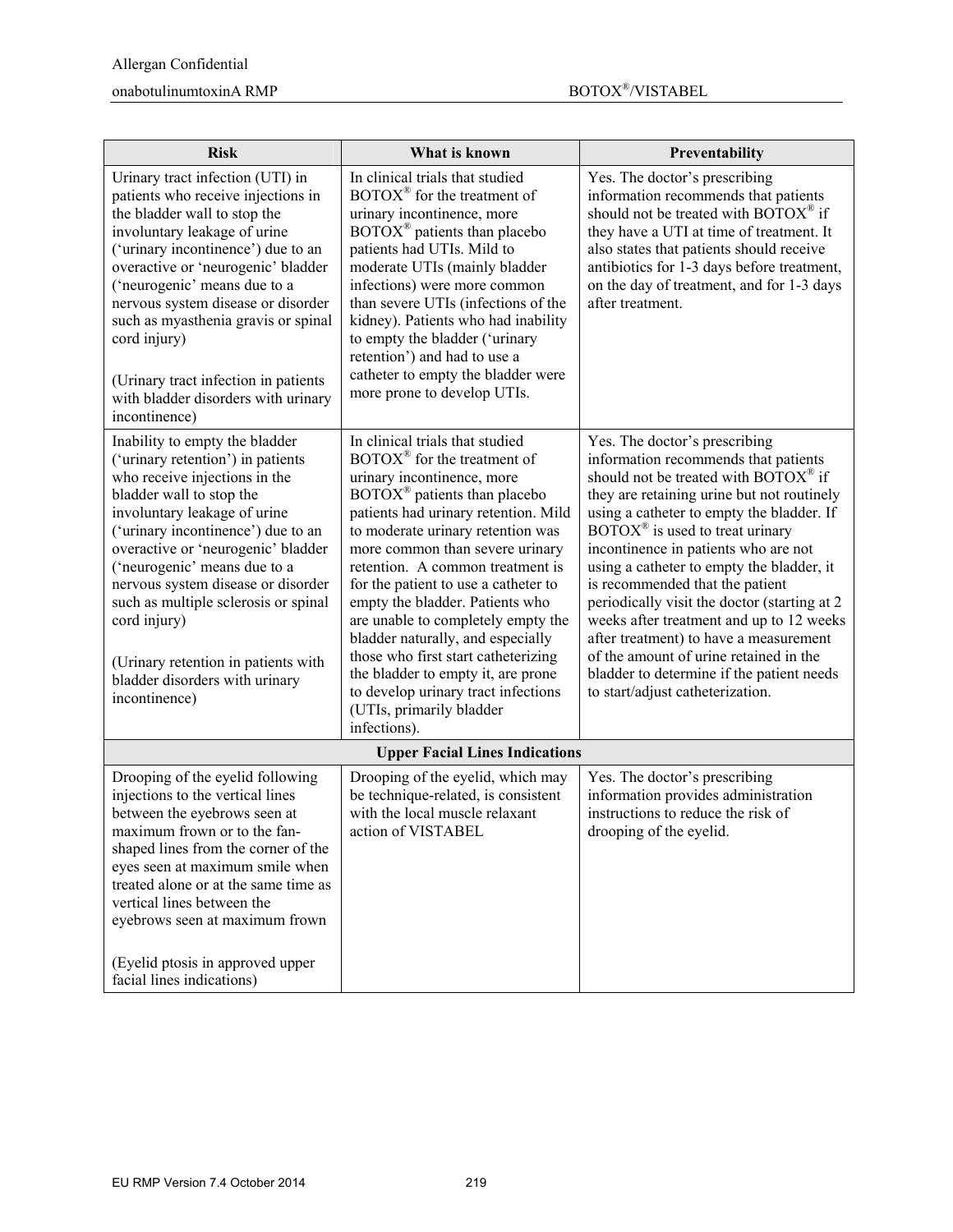#### $\mbox{nonabotulinumtoxinA}~\mbox{RMP}~~\mbox{nonabotulinumtoxinA}~\mbox{RMP}~~\mbox{nonabotulinumtoxinA}~\mbox{RMP}~~\mbox{nonabotulinumtoxinA}~\mbox{RMP}~~\mbox{nonabotulinumtovinA}~\mbox{RMP}~~\mbox{nonabotulinumtovinA}~\mbox{RMP}~~\mbox{nonabotulinumtovinA}~\mbox{RMP}~~\mbox{nonabotulinumtovinA}~\mbox{RMP}~~\mbox{nonabotulinumtovinA}~\mbox{RMP}~~\mbox{nonabotulinumtovinA}~\mbox{RMP}~~$

| <b>Risk</b>                                                                                                                                                                                                                                                                                                                                                                                                                                                          | What is known                                                                                                                                                                                                                                                                                                                                                                                                                                                                                                                                                                                                                | Preventability                                                                                                                                                                                                                                                                                                                                                                                                                                                                                                                                                                                                                                              |
|----------------------------------------------------------------------------------------------------------------------------------------------------------------------------------------------------------------------------------------------------------------------------------------------------------------------------------------------------------------------------------------------------------------------------------------------------------------------|------------------------------------------------------------------------------------------------------------------------------------------------------------------------------------------------------------------------------------------------------------------------------------------------------------------------------------------------------------------------------------------------------------------------------------------------------------------------------------------------------------------------------------------------------------------------------------------------------------------------------|-------------------------------------------------------------------------------------------------------------------------------------------------------------------------------------------------------------------------------------------------------------------------------------------------------------------------------------------------------------------------------------------------------------------------------------------------------------------------------------------------------------------------------------------------------------------------------------------------------------------------------------------------------------|
| Urinary tract infection (UTI) in<br>patients who receive injections in<br>the bladder wall to stop the<br>involuntary leakage of urine<br>('urinary incontinence') due to an<br>overactive or 'neurogenic' bladder<br>('neurogenic' means due to a<br>nervous system disease or disorder<br>such as myasthenia gravis or spinal<br>cord injury)<br>(Urinary tract infection in patients<br>with bladder disorders with urinary<br>incontinence)                      | In clinical trials that studied<br>$\text{BOTOX}^{\circledR}$ for the treatment of<br>urinary incontinence, more<br>BOTOX <sup>®</sup> patients than placebo<br>patients had UTIs. Mild to<br>moderate UTIs (mainly bladder<br>infections) were more common<br>than severe UTIs (infections of the<br>kidney). Patients who had inability<br>to empty the bladder ('urinary<br>retention') and had to use a<br>catheter to empty the bladder were<br>more prone to develop UTIs.                                                                                                                                             | Yes. The doctor's prescribing<br>information recommends that patients<br>should not be treated with $\text{BOTOX}^{\circledast}$ if<br>they have a UTI at time of treatment. It<br>also states that patients should receive<br>antibiotics for 1-3 days before treatment,<br>on the day of treatment, and for 1-3 days<br>after treatment.                                                                                                                                                                                                                                                                                                                  |
| Inability to empty the bladder<br>('urinary retention') in patients<br>who receive injections in the<br>bladder wall to stop the<br>involuntary leakage of urine<br>('urinary incontinence') due to an<br>overactive or 'neurogenic' bladder<br>('neurogenic' means due to a<br>nervous system disease or disorder<br>such as multiple sclerosis or spinal<br>cord injury)<br>(Urinary retention in patients with<br>bladder disorders with urinary<br>incontinence) | In clinical trials that studied<br>BOTOX® for the treatment of<br>urinary incontinence, more<br>$\overline{BOTOX}^{\otimes}$ patients than placebo<br>patients had urinary retention. Mild<br>to moderate urinary retention was<br>more common than severe urinary<br>retention. A common treatment is<br>for the patient to use a catheter to<br>empty the bladder. Patients who<br>are unable to completely empty the<br>bladder naturally, and especially<br>those who first start catheterizing<br>the bladder to empty it, are prone<br>to develop urinary tract infections<br>(UTIs, primarily bladder<br>infections). | Yes. The doctor's prescribing<br>information recommends that patients<br>should not be treated with BOTOX® if<br>they are retaining urine but not routinely<br>using a catheter to empty the bladder. If<br>$\text{BOTOX}^{\circledast}$ is used to treat urinary<br>incontinence in patients who are not<br>using a catheter to empty the bladder, it<br>is recommended that the patient<br>periodically visit the doctor (starting at 2)<br>weeks after treatment and up to 12 weeks<br>after treatment) to have a measurement<br>of the amount of urine retained in the<br>bladder to determine if the patient needs<br>to start/adjust catheterization. |
| <b>Upper Facial Lines Indications</b>                                                                                                                                                                                                                                                                                                                                                                                                                                |                                                                                                                                                                                                                                                                                                                                                                                                                                                                                                                                                                                                                              |                                                                                                                                                                                                                                                                                                                                                                                                                                                                                                                                                                                                                                                             |
| Drooping of the eyelid following<br>injections to the vertical lines<br>between the eyebrows seen at<br>maximum frown or to the fan-<br>shaped lines from the corner of the<br>eyes seen at maximum smile when<br>treated alone or at the same time as<br>vertical lines between the<br>eyebrows seen at maximum frown<br>(Eyelid ptosis in approved upper<br>facial lines indications)                                                                              | Drooping of the eyelid, which may<br>be technique-related, is consistent<br>with the local muscle relaxant<br>action of VISTABEL                                                                                                                                                                                                                                                                                                                                                                                                                                                                                             | Yes. The doctor's prescribing<br>information provides administration<br>instructions to reduce the risk of<br>drooping of the eyelid.                                                                                                                                                                                                                                                                                                                                                                                                                                                                                                                       |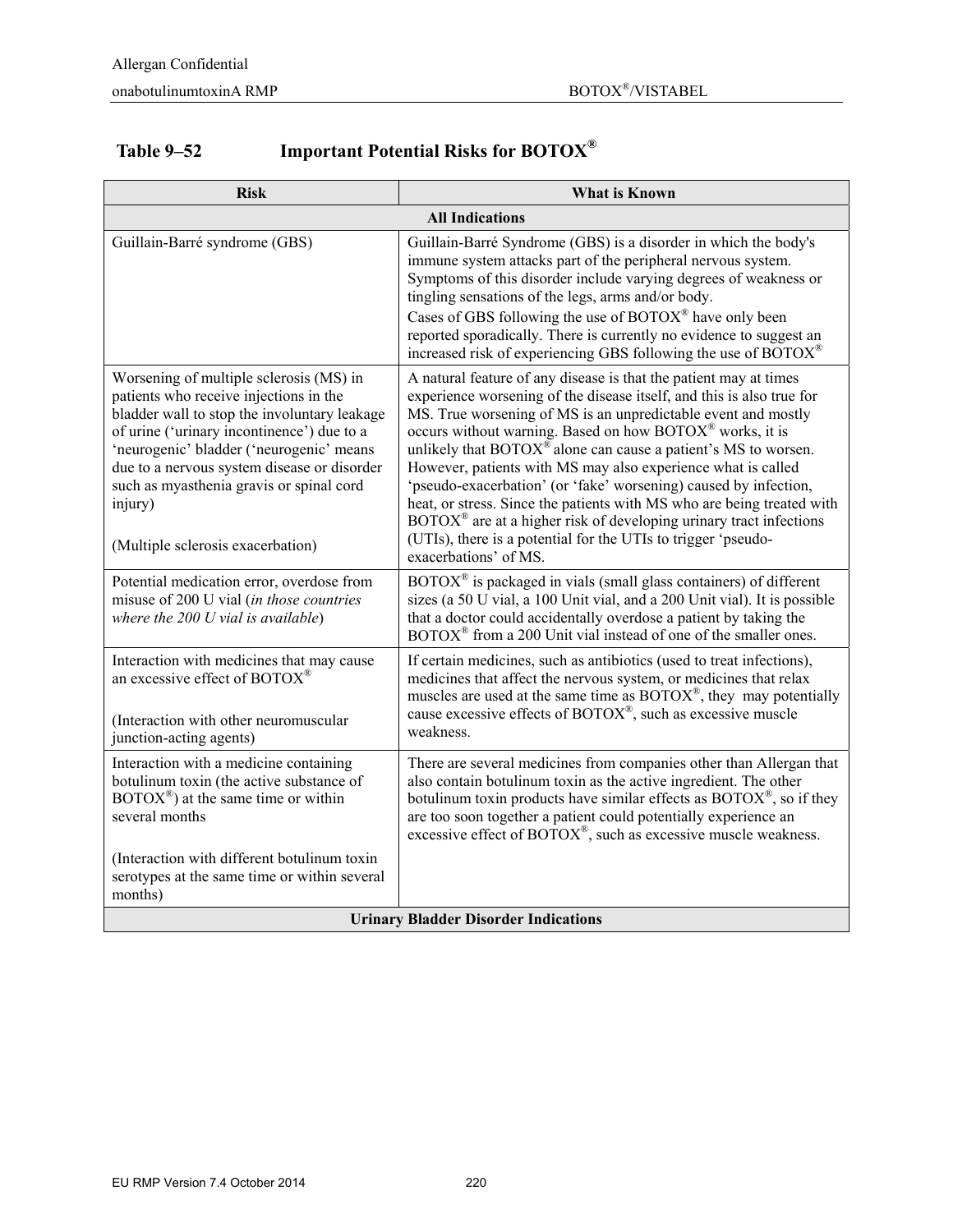# **Table 9–52 Important Potential Risks for BOTOX®**

| <b>Risk</b>                                                                                                                                                                                                                                                                                                                                                            | <b>What is Known</b>                                                                                                                                                                                                                                                                                                                                                                                                                                                                                                                                                                                                                                                                                                                                                            |  |
|------------------------------------------------------------------------------------------------------------------------------------------------------------------------------------------------------------------------------------------------------------------------------------------------------------------------------------------------------------------------|---------------------------------------------------------------------------------------------------------------------------------------------------------------------------------------------------------------------------------------------------------------------------------------------------------------------------------------------------------------------------------------------------------------------------------------------------------------------------------------------------------------------------------------------------------------------------------------------------------------------------------------------------------------------------------------------------------------------------------------------------------------------------------|--|
|                                                                                                                                                                                                                                                                                                                                                                        | <b>All Indications</b>                                                                                                                                                                                                                                                                                                                                                                                                                                                                                                                                                                                                                                                                                                                                                          |  |
| Guillain-Barré syndrome (GBS)                                                                                                                                                                                                                                                                                                                                          | Guillain-Barré Syndrome (GBS) is a disorder in which the body's<br>immune system attacks part of the peripheral nervous system.<br>Symptoms of this disorder include varying degrees of weakness or<br>tingling sensations of the legs, arms and/or body.<br>Cases of GBS following the use of $BOTOX^{\circledast}$ have only been<br>reported sporadically. There is currently no evidence to suggest an<br>increased risk of experiencing GBS following the use of $BOTOX^{\circledast}$                                                                                                                                                                                                                                                                                     |  |
| Worsening of multiple sclerosis (MS) in<br>patients who receive injections in the<br>bladder wall to stop the involuntary leakage<br>of urine ('urinary incontinence') due to a<br>'neurogenic' bladder ('neurogenic' means<br>due to a nervous system disease or disorder<br>such as myasthenia gravis or spinal cord<br>injury)<br>(Multiple sclerosis exacerbation) | A natural feature of any disease is that the patient may at times<br>experience worsening of the disease itself, and this is also true for<br>MS. True worsening of MS is an unpredictable event and mostly<br>occurs without warning. Based on how BOTOX <sup>®</sup> works, it is<br>unlikely that $\text{BOTOX}^{\circledast}$ alone can cause a patient's MS to worsen.<br>However, patients with MS may also experience what is called<br>'pseudo-exacerbation' (or 'fake' worsening) caused by infection,<br>heat, or stress. Since the patients with MS who are being treated with<br>$\text{BOTOX}^{\circledast}$ are at a higher risk of developing urinary tract infections<br>(UTIs), there is a potential for the UTIs to trigger 'pseudo-<br>exacerbations' of MS. |  |
| Potential medication error, overdose from<br>misuse of 200 U vial (in those countries<br>where the $200$ U vial is available)                                                                                                                                                                                                                                          | BOTOX <sup>®</sup> is packaged in vials (small glass containers) of different<br>sizes (a 50 U vial, a 100 Unit vial, and a 200 Unit vial). It is possible<br>that a doctor could accidentally overdose a patient by taking the<br>$\text{BOTOX}^{\circledR}$ from a 200 Unit vial instead of one of the smaller ones.                                                                                                                                                                                                                                                                                                                                                                                                                                                          |  |
| Interaction with medicines that may cause<br>an excessive effect of BOTOX®<br>(Interaction with other neuromuscular<br>junction-acting agents)                                                                                                                                                                                                                         | If certain medicines, such as antibiotics (used to treat infections),<br>medicines that affect the nervous system, or medicines that relax<br>muscles are used at the same time as $BOTOX^{\circledast}$ , they may potentially<br>cause excessive effects of BOTOX®, such as excessive muscle<br>weakness.                                                                                                                                                                                                                                                                                                                                                                                                                                                                     |  |
| Interaction with a medicine containing<br>botulinum toxin (the active substance of<br>$\text{BOTOX}^{\circledast}$ ) at the same time or within<br>several months<br>(Interaction with different botulinum toxin                                                                                                                                                       | There are several medicines from companies other than Allergan that<br>also contain botulinum toxin as the active ingredient. The other<br>botulinum toxin products have similar effects as $BOTOX^{\circledast}$ , so if they<br>are too soon together a patient could potentially experience an<br>excessive effect of BOTOX®, such as excessive muscle weakness.                                                                                                                                                                                                                                                                                                                                                                                                             |  |
| serotypes at the same time or within several<br>months)                                                                                                                                                                                                                                                                                                                |                                                                                                                                                                                                                                                                                                                                                                                                                                                                                                                                                                                                                                                                                                                                                                                 |  |
| <b>Urinary Bladder Disorder Indications</b>                                                                                                                                                                                                                                                                                                                            |                                                                                                                                                                                                                                                                                                                                                                                                                                                                                                                                                                                                                                                                                                                                                                                 |  |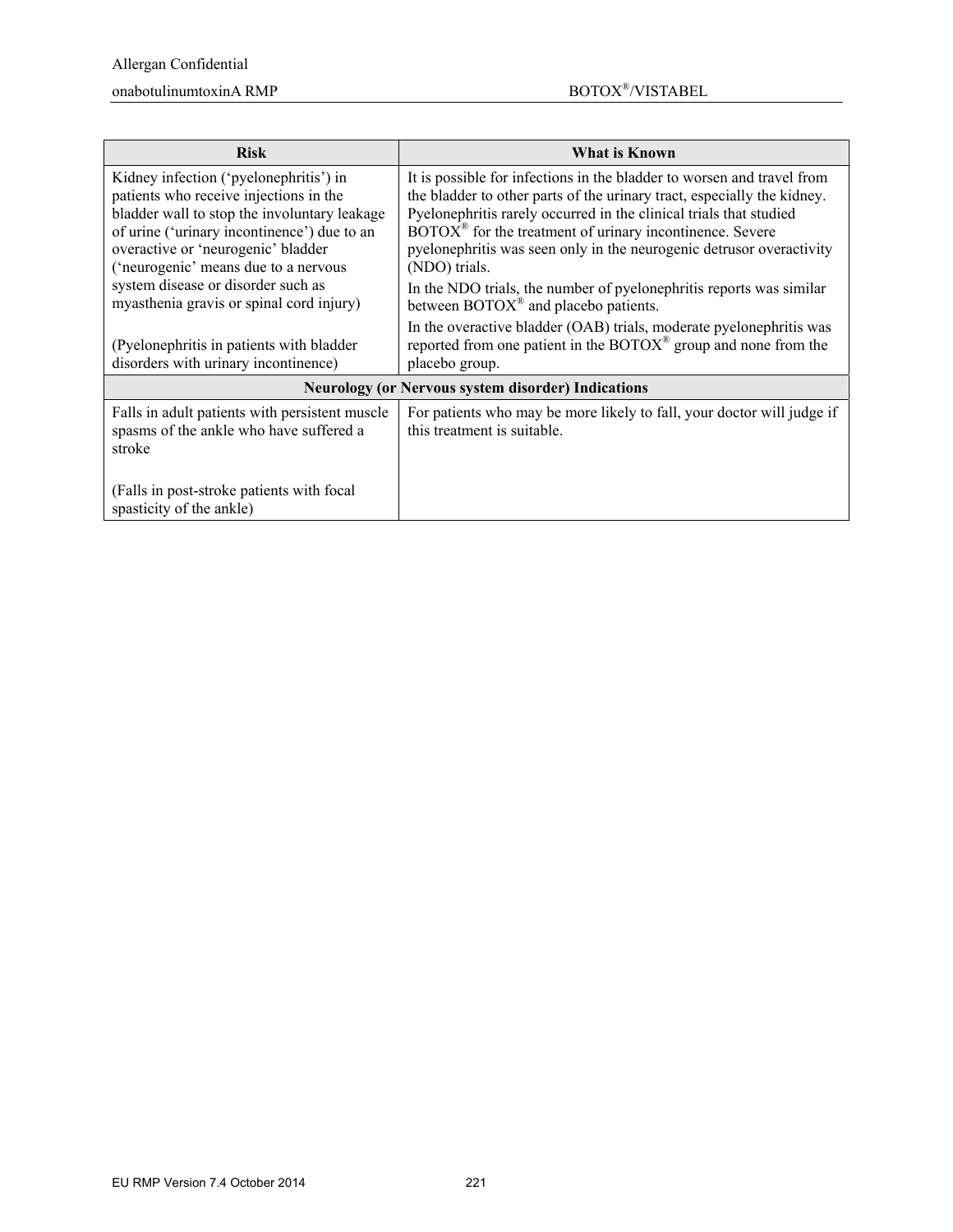### $\mbox{nonabotulinumtoxinA}~\mbox{RMP}~~\mbox{nonabotulinumtoxinA}~\mbox{RMP}~~\mbox{nonabotulinumtoxinA}~\mbox{RMP}~~\mbox{nonabotulinumtoxinA}~\mbox{RMP}~~\mbox{nonabotulinumtovinA}~\mbox{RMP}~~\mbox{nonabotulinumtovinA}~\mbox{RMP}~~\mbox{nonabotulinumtovinA}~\mbox{RMP}~~\mbox{nonabotulinumtovinA}~\mbox{RMP}~~\mbox{nonabotulinumtovinA}~\mbox{RMP}~~\mbox{nonabotulinumtovinA}~\mbox{RMP}~~$

| <b>Risk</b>                                                                                                                       | What is Known                                                                                                                                                                                                                |  |  |
|-----------------------------------------------------------------------------------------------------------------------------------|------------------------------------------------------------------------------------------------------------------------------------------------------------------------------------------------------------------------------|--|--|
| Kidney infection ('pyelonephritis') in<br>patients who receive injections in the                                                  | It is possible for infections in the bladder to worsen and travel from<br>the bladder to other parts of the urinary tract, especially the kidney.                                                                            |  |  |
| bladder wall to stop the involuntary leakage<br>of urine ('urinary incontinence') due to an<br>overactive or 'neurogenic' bladder | Pyelonephritis rarely occurred in the clinical trials that studied<br>$\text{BOTOX}^{\circledast}$ for the treatment of urinary incontinence. Severe<br>pyelonephritis was seen only in the neurogenic detrusor overactivity |  |  |
| ('neurogenic' means due to a nervous                                                                                              | (NDO) trials.                                                                                                                                                                                                                |  |  |
| system disease or disorder such as<br>myasthenia gravis or spinal cord injury)                                                    | In the NDO trials, the number of pyelonephritis reports was similar<br>between $\text{BOTOX}^{\circledast}$ and placebo patients.                                                                                            |  |  |
| (Pyelonephritis in patients with bladder)<br>disorders with urinary incontinence)                                                 | In the overactive bladder (OAB) trials, moderate pyelonephritis was<br>reported from one patient in the $\text{BOTOX}^{\circledast}$ group and none from the<br>placebo group.                                               |  |  |
| <b>Neurology (or Nervous system disorder) Indications</b>                                                                         |                                                                                                                                                                                                                              |  |  |
| Falls in adult patients with persistent muscle<br>spasms of the ankle who have suffered a<br>stroke                               | For patients who may be more likely to fall, your doctor will judge if<br>this treatment is suitable.                                                                                                                        |  |  |
| (Falls in post-stroke patients with focal<br>spasticity of the ankle)                                                             |                                                                                                                                                                                                                              |  |  |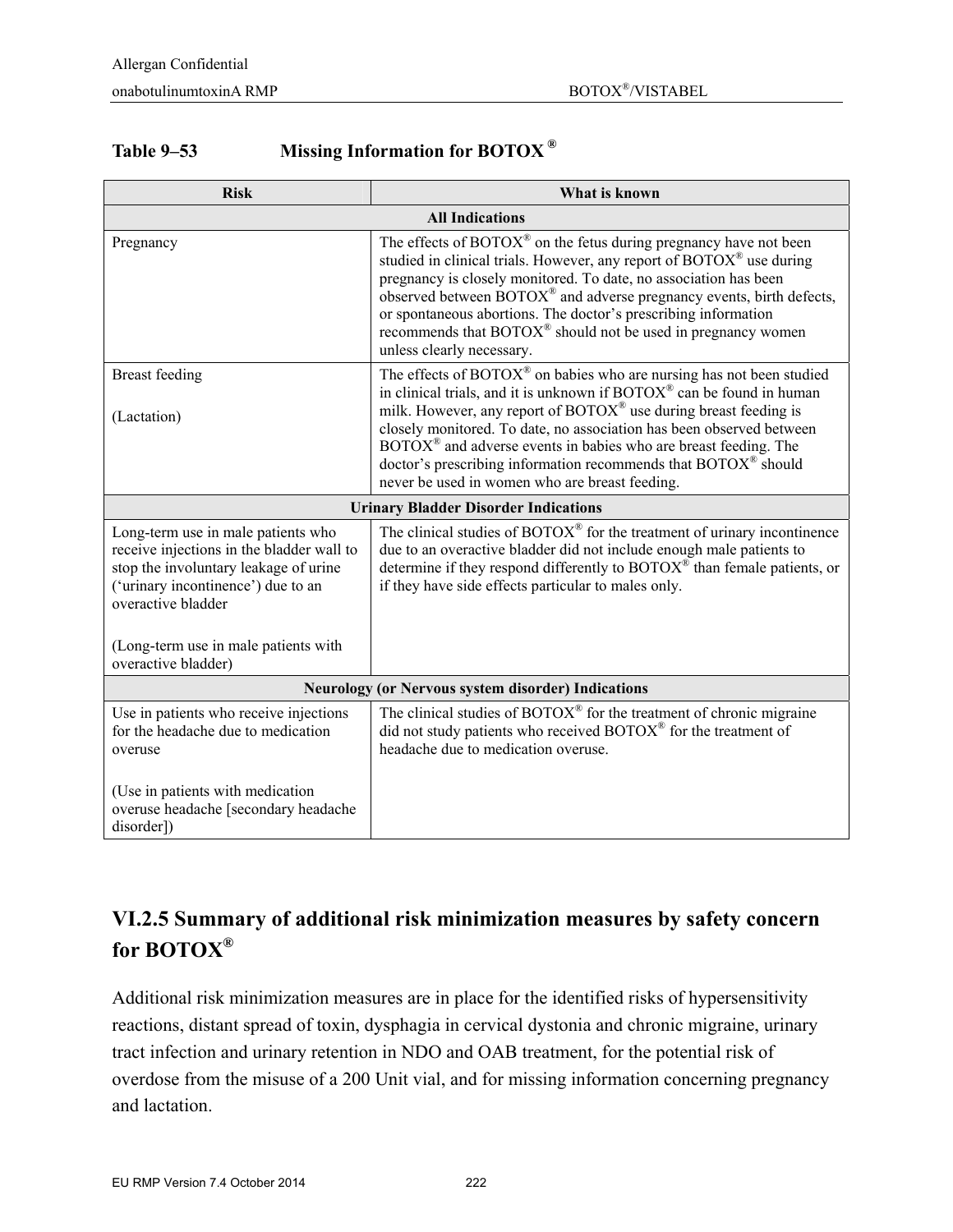| <b>Table 9–53</b> | Missing Information for BOTOX <sup>®</sup> |  |
|-------------------|--------------------------------------------|--|
|                   |                                            |  |

| <b>Risk</b>                                                                                                                                                                                                                                         | What is known                                                                                                                                                                                                                                                                                                                                                                                                                                                                                                                              |  |  |
|-----------------------------------------------------------------------------------------------------------------------------------------------------------------------------------------------------------------------------------------------------|--------------------------------------------------------------------------------------------------------------------------------------------------------------------------------------------------------------------------------------------------------------------------------------------------------------------------------------------------------------------------------------------------------------------------------------------------------------------------------------------------------------------------------------------|--|--|
|                                                                                                                                                                                                                                                     | <b>All Indications</b>                                                                                                                                                                                                                                                                                                                                                                                                                                                                                                                     |  |  |
| Pregnancy                                                                                                                                                                                                                                           | The effects of $BOTOX^{\circledast}$ on the fetus during pregnancy have not been<br>studied in clinical trials. However, any report of BOTOX <sup>®</sup> use during<br>pregnancy is closely monitored. To date, no association has been<br>observed between $BOTOX^{\circledast}$ and adverse pregnancy events, birth defects,<br>or spontaneous abortions. The doctor's prescribing information<br>recommends that BOTOX <sup>®</sup> should not be used in pregnancy women<br>unless clearly necessary.                                 |  |  |
| <b>Breast</b> feeding<br>(Lactation)                                                                                                                                                                                                                | The effects of $\mathrm{BOTOX}^{\circledast}$ on babies who are nursing has not been studied<br>in clinical trials, and it is unknown if BOTOX® can be found in human<br>milk. However, any report of BOTOX® use during breast feeding is<br>closely monitored. To date, no association has been observed between<br>$\text{BOTOX}^{\circledast}$ and adverse events in babies who are breast feeding. The<br>doctor's prescribing information recommends that BOTOX <sup>®</sup> should<br>never be used in women who are breast feeding. |  |  |
|                                                                                                                                                                                                                                                     | <b>Urinary Bladder Disorder Indications</b>                                                                                                                                                                                                                                                                                                                                                                                                                                                                                                |  |  |
| Long-term use in male patients who<br>receive injections in the bladder wall to<br>stop the involuntary leakage of urine<br>('urinary incontinence') due to an<br>overactive bladder<br>(Long-term use in male patients with<br>overactive bladder) | The clinical studies of $BOTOX^{\circledast}$ for the treatment of urinary incontinence<br>due to an overactive bladder did not include enough male patients to<br>determine if they respond differently to $BOTOX^{\mathcal{D}}$ than female patients, or<br>if they have side effects particular to males only.                                                                                                                                                                                                                          |  |  |
| <b>Neurology (or Nervous system disorder) Indications</b>                                                                                                                                                                                           |                                                                                                                                                                                                                                                                                                                                                                                                                                                                                                                                            |  |  |
| Use in patients who receive injections                                                                                                                                                                                                              | The clinical studies of BOTOX® for the treatment of chronic migraine                                                                                                                                                                                                                                                                                                                                                                                                                                                                       |  |  |
| for the headache due to medication<br>overuse                                                                                                                                                                                                       | did not study patients who received BOTOX® for the treatment of<br>headache due to medication overuse.                                                                                                                                                                                                                                                                                                                                                                                                                                     |  |  |
| (Use in patients with medication<br>overuse headache [secondary headache<br>disorder])                                                                                                                                                              |                                                                                                                                                                                                                                                                                                                                                                                                                                                                                                                                            |  |  |

# **VI.2.5 Summary of additional risk minimization measures by safety concern for BOTOX®**

Additional risk minimization measures are in place for the identified risks of hypersensitivity reactions, distant spread of toxin, dysphagia in cervical dystonia and chronic migraine, urinary tract infection and urinary retention in NDO and OAB treatment, for the potential risk of overdose from the misuse of a 200 Unit vial, and for missing information concerning pregnancy and lactation.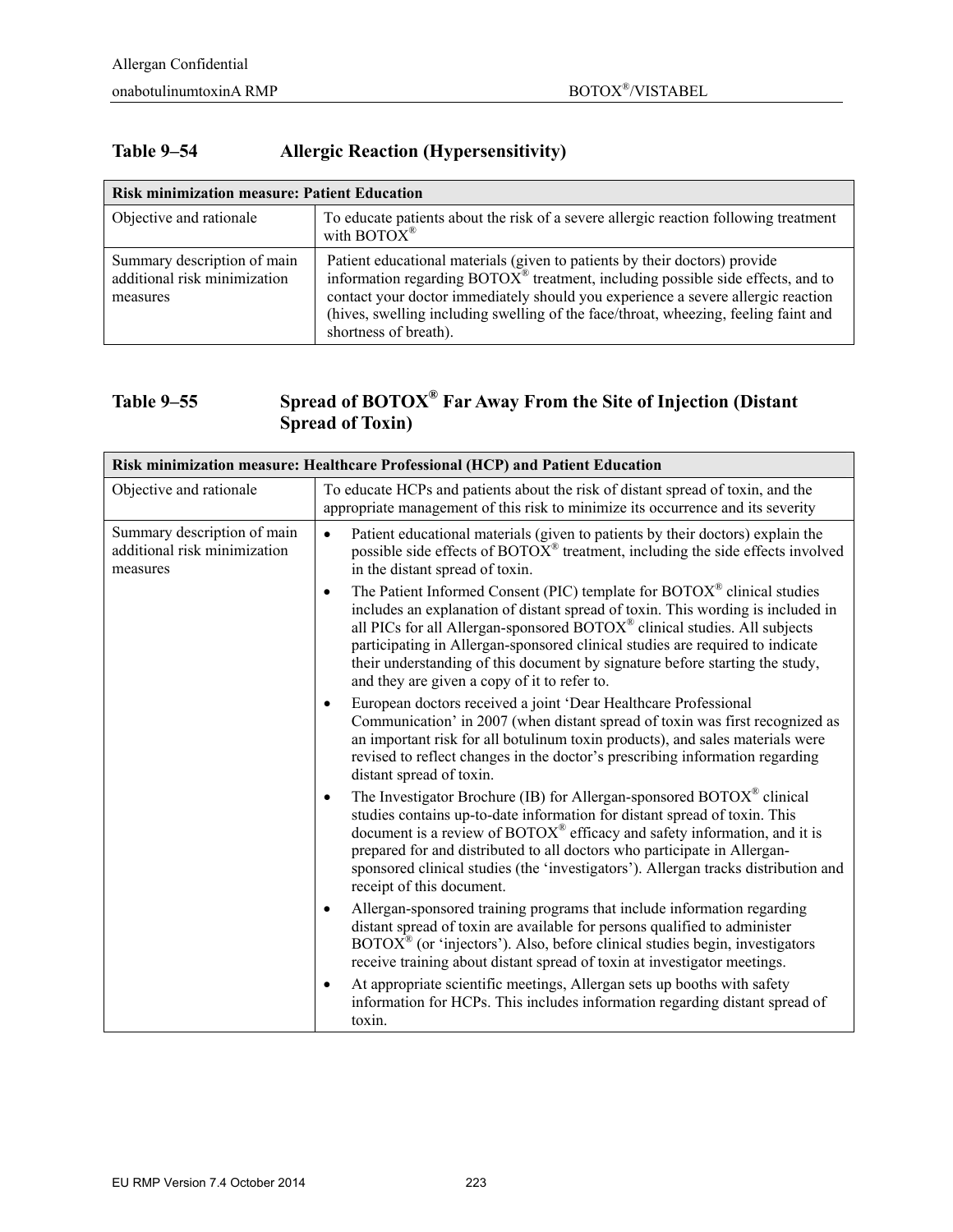#### **Table 9–54 Allergic Reaction (Hypersensitivity)**

| <b>Risk minimization measure: Patient Education</b>                     |                                                                                                                                                                                                                                                                                                                                                                                  |  |
|-------------------------------------------------------------------------|----------------------------------------------------------------------------------------------------------------------------------------------------------------------------------------------------------------------------------------------------------------------------------------------------------------------------------------------------------------------------------|--|
| Objective and rationale                                                 | To educate patients about the risk of a severe allergic reaction following treatment<br>with $\text{BOTOX}^{\circledR}$                                                                                                                                                                                                                                                          |  |
| Summary description of main<br>additional risk minimization<br>measures | Patient educational materials (given to patients by their doctors) provide<br>information regarding $BOTOX^{\circledast}$ treatment, including possible side effects, and to<br>contact your doctor immediately should you experience a severe allergic reaction<br>(hives, swelling including swelling of the face/throat, wheezing, feeling faint and<br>shortness of breath). |  |

### **Table 9–55 Spread of BOTOX® Far Away From the Site of Injection (Distant Spread of Toxin)**

| Risk minimization measure: Healthcare Professional (HCP) and Patient Education |                                                                                                                                                                                                                                                                                                                                                                                                                                                                       |  |
|--------------------------------------------------------------------------------|-----------------------------------------------------------------------------------------------------------------------------------------------------------------------------------------------------------------------------------------------------------------------------------------------------------------------------------------------------------------------------------------------------------------------------------------------------------------------|--|
| Objective and rationale                                                        | To educate HCPs and patients about the risk of distant spread of toxin, and the<br>appropriate management of this risk to minimize its occurrence and its severity                                                                                                                                                                                                                                                                                                    |  |
| Summary description of main<br>additional risk minimization<br>measures        | Patient educational materials (given to patients by their doctors) explain the<br>$\bullet$<br>possible side effects of $BOTOX^*$ treatment, including the side effects involved<br>in the distant spread of toxin.                                                                                                                                                                                                                                                   |  |
|                                                                                | The Patient Informed Consent (PIC) template for BOTOX® clinical studies<br>$\bullet$<br>includes an explanation of distant spread of toxin. This wording is included in<br>all PICs for all Allergan-sponsored BOTOX® clinical studies. All subjects<br>participating in Allergan-sponsored clinical studies are required to indicate<br>their understanding of this document by signature before starting the study,<br>and they are given a copy of it to refer to. |  |
|                                                                                | European doctors received a joint 'Dear Healthcare Professional<br>Communication' in 2007 (when distant spread of toxin was first recognized as<br>an important risk for all botulinum toxin products), and sales materials were<br>revised to reflect changes in the doctor's prescribing information regarding<br>distant spread of toxin.                                                                                                                          |  |
|                                                                                | The Investigator Brochure (IB) for Allergan-sponsored BOTOX® clinical<br>$\bullet$<br>studies contains up-to-date information for distant spread of toxin. This<br>document is a review of BOTOX® efficacy and safety information, and it is<br>prepared for and distributed to all doctors who participate in Allergan-<br>sponsored clinical studies (the 'investigators'). Allergan tracks distribution and<br>receipt of this document.                           |  |
|                                                                                | Allergan-sponsored training programs that include information regarding<br>distant spread of toxin are available for persons qualified to administer<br>$BOTOX^{\circledast}$ (or 'injectors'). Also, before clinical studies begin, investigators<br>receive training about distant spread of toxin at investigator meetings.                                                                                                                                        |  |
|                                                                                | At appropriate scientific meetings, Allergan sets up booths with safety<br>$\bullet$<br>information for HCPs. This includes information regarding distant spread of<br>toxin.                                                                                                                                                                                                                                                                                         |  |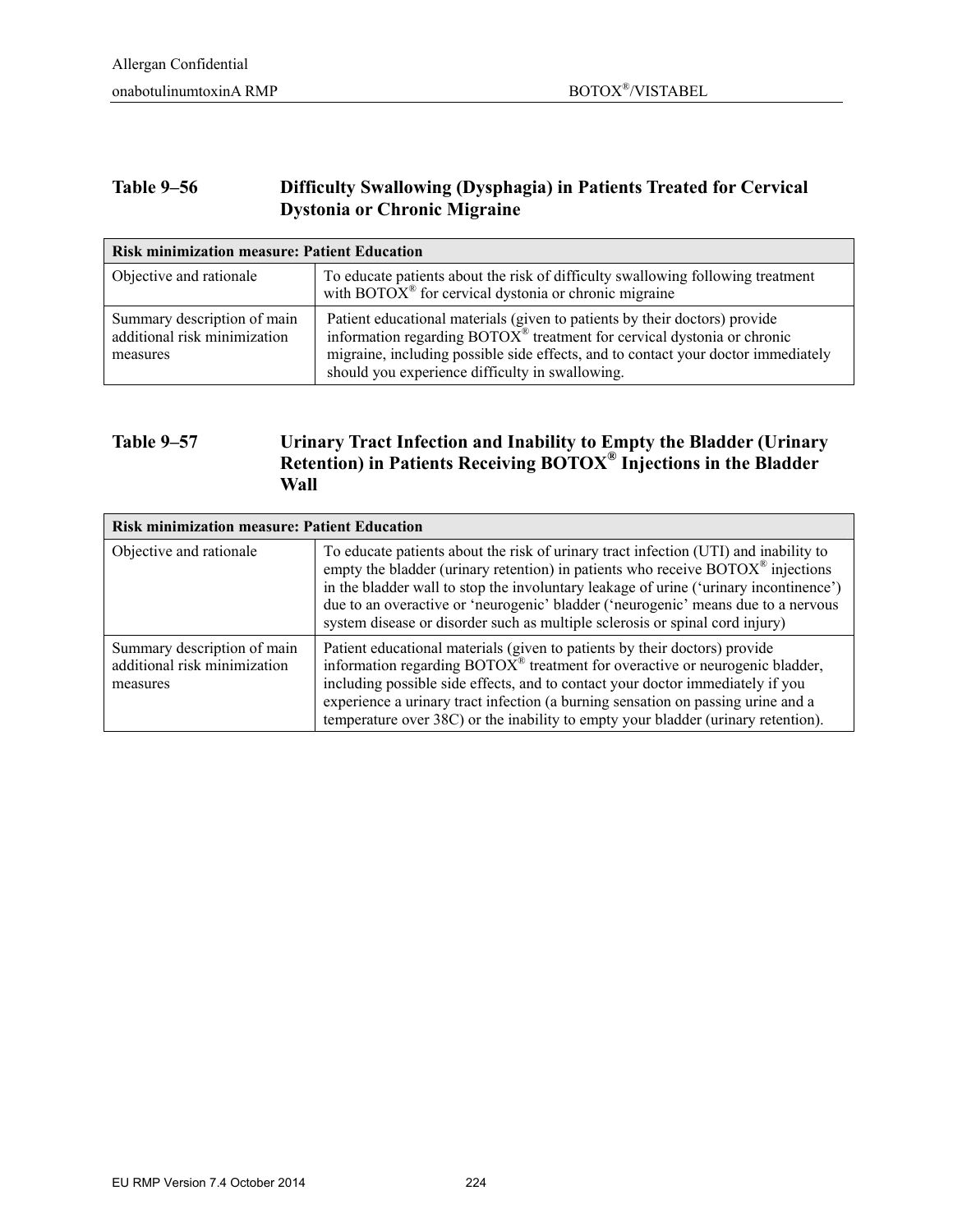#### **Table 9–56 Difficulty Swallowing (Dysphagia) in Patients Treated for Cervical Dystonia or Chronic Migraine**

| <b>Risk minimization measure: Patient Education</b>                     |                                                                                                                                                                                                                                                                                                          |  |
|-------------------------------------------------------------------------|----------------------------------------------------------------------------------------------------------------------------------------------------------------------------------------------------------------------------------------------------------------------------------------------------------|--|
| Objective and rationale                                                 | To educate patients about the risk of difficulty swallowing following treatment<br>with BOTO $X^{\otimes}$ for cervical dystonia or chronic migraine                                                                                                                                                     |  |
| Summary description of main<br>additional risk minimization<br>measures | Patient educational materials (given to patients by their doctors) provide<br>information regarding $BOTOX^{\otimes}$ treatment for cervical dystonia or chronic<br>migraine, including possible side effects, and to contact your doctor immediately<br>should you experience difficulty in swallowing. |  |

#### **Table 9–57 Urinary Tract Infection and Inability to Empty the Bladder (Urinary Retention) in Patients Receiving BOTOX® Injections in the Bladder Wall**

| <b>Risk minimization measure: Patient Education</b>                     |                                                                                                                                                                                                                                                                                                                                                                                                                                                             |  |
|-------------------------------------------------------------------------|-------------------------------------------------------------------------------------------------------------------------------------------------------------------------------------------------------------------------------------------------------------------------------------------------------------------------------------------------------------------------------------------------------------------------------------------------------------|--|
| Objective and rationale                                                 | To educate patients about the risk of urinary tract infection (UTI) and inability to<br>empty the bladder (urinary retention) in patients who receive $\text{BOTOX}^{\circledast}$ injections<br>in the bladder wall to stop the involuntary leakage of urine ('urinary incontinence')<br>due to an overactive or 'neurogenic' bladder ('neurogenic' means due to a nervous<br>system disease or disorder such as multiple sclerosis or spinal cord injury) |  |
| Summary description of main<br>additional risk minimization<br>measures | Patient educational materials (given to patients by their doctors) provide<br>information regarding BOTOX <sup>®</sup> treatment for overactive or neurogenic bladder,<br>including possible side effects, and to contact your doctor immediately if you<br>experience a urinary tract infection (a burning sensation on passing urine and a<br>temperature over 38C) or the inability to empty your bladder (urinary retention).                           |  |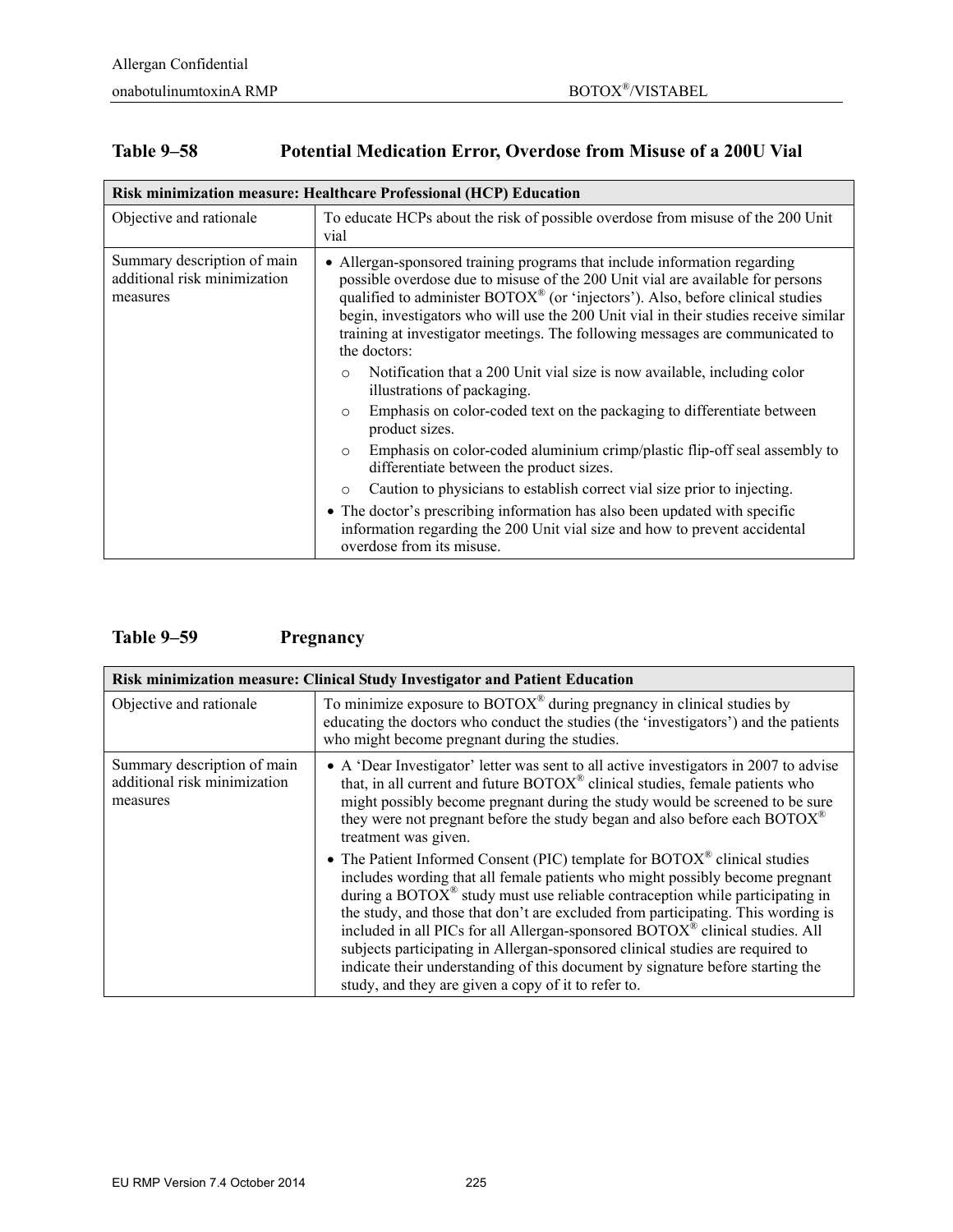T

### **Table 9–58 Potential Medication Error, Overdose from Misuse of a 200U Vial**

| Risk minimization measure: Healthcare Professional (HCP) Education      |                                                                                                                                                                                                                                                                                                                                                                                                                                                                                                                                                                                                                                                                                                                                                                                                                                                                                                                                                                                                                                                                                         |  |
|-------------------------------------------------------------------------|-----------------------------------------------------------------------------------------------------------------------------------------------------------------------------------------------------------------------------------------------------------------------------------------------------------------------------------------------------------------------------------------------------------------------------------------------------------------------------------------------------------------------------------------------------------------------------------------------------------------------------------------------------------------------------------------------------------------------------------------------------------------------------------------------------------------------------------------------------------------------------------------------------------------------------------------------------------------------------------------------------------------------------------------------------------------------------------------|--|
| Objective and rationale                                                 | To educate HCPs about the risk of possible overdose from misuse of the 200 Unit<br>vial                                                                                                                                                                                                                                                                                                                                                                                                                                                                                                                                                                                                                                                                                                                                                                                                                                                                                                                                                                                                 |  |
| Summary description of main<br>additional risk minimization<br>measures | • Allergan-sponsored training programs that include information regarding<br>possible overdose due to misuse of the 200 Unit vial are available for persons<br>qualified to administer BOTOX® (or 'injectors'). Also, before clinical studies<br>begin, investigators who will use the 200 Unit vial in their studies receive similar<br>training at investigator meetings. The following messages are communicated to<br>the doctors:<br>Notification that a 200 Unit vial size is now available, including color<br>$\circ$<br>illustrations of packaging.<br>Emphasis on color-coded text on the packaging to differentiate between<br>$\circ$<br>product sizes.<br>Emphasis on color-coded aluminium crimp/plastic flip-off seal assembly to<br>$\circ$<br>differentiate between the product sizes.<br>Caution to physicians to establish correct vial size prior to injecting.<br>$\circ$<br>• The doctor's prescribing information has also been updated with specific<br>information regarding the 200 Unit vial size and how to prevent accidental<br>overdose from its misuse. |  |

### **Table 9–59 Pregnancy**

| Risk minimization measure: Clinical Study Investigator and Patient Education |                                                                                                                                                                                                                                                                                                                                                                                                                                                                                                                                                                                                                                                                                |  |
|------------------------------------------------------------------------------|--------------------------------------------------------------------------------------------------------------------------------------------------------------------------------------------------------------------------------------------------------------------------------------------------------------------------------------------------------------------------------------------------------------------------------------------------------------------------------------------------------------------------------------------------------------------------------------------------------------------------------------------------------------------------------|--|
| Objective and rationale                                                      | To minimize exposure to $BOTOX^{\circledast}$ during pregnancy in clinical studies by<br>educating the doctors who conduct the studies (the 'investigators') and the patients<br>who might become pregnant during the studies.                                                                                                                                                                                                                                                                                                                                                                                                                                                 |  |
| Summary description of main<br>additional risk minimization<br>measures      | • A 'Dear Investigator' letter was sent to all active investigators in 2007 to advise<br>that, in all current and future BOTOX <sup>®</sup> clinical studies, female patients who<br>might possibly become pregnant during the study would be screened to be sure<br>they were not pregnant before the study began and also before each BOTOX <sup>®</sup><br>treatment was given.                                                                                                                                                                                                                                                                                             |  |
|                                                                              | • The Patient Informed Consent (PIC) template for $BOTOX^{\circledast}$ clinical studies<br>includes wording that all female patients who might possibly become pregnant<br>during a BOTO $X^{\otimes}$ study must use reliable contraception while participating in<br>the study, and those that don't are excluded from participating. This wording is<br>included in all PICs for all Allergan-sponsored BOTOX <sup>®</sup> clinical studies. All<br>subjects participating in Allergan-sponsored clinical studies are required to<br>indicate their understanding of this document by signature before starting the<br>study, and they are given a copy of it to refer to. |  |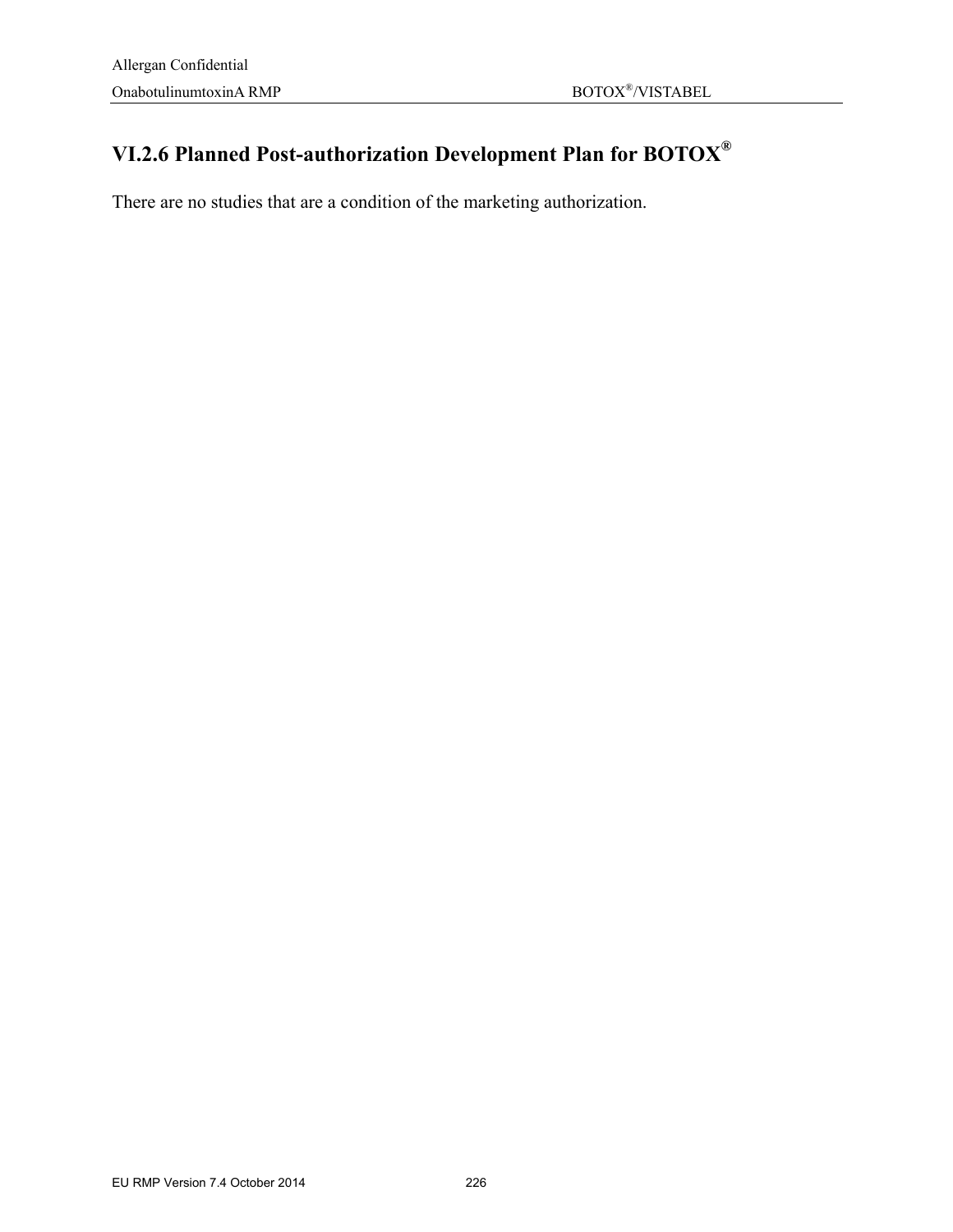# **VI.2.6 Planned Post-authorization Development Plan for BOTOX®**

There are no studies that are a condition of the marketing authorization.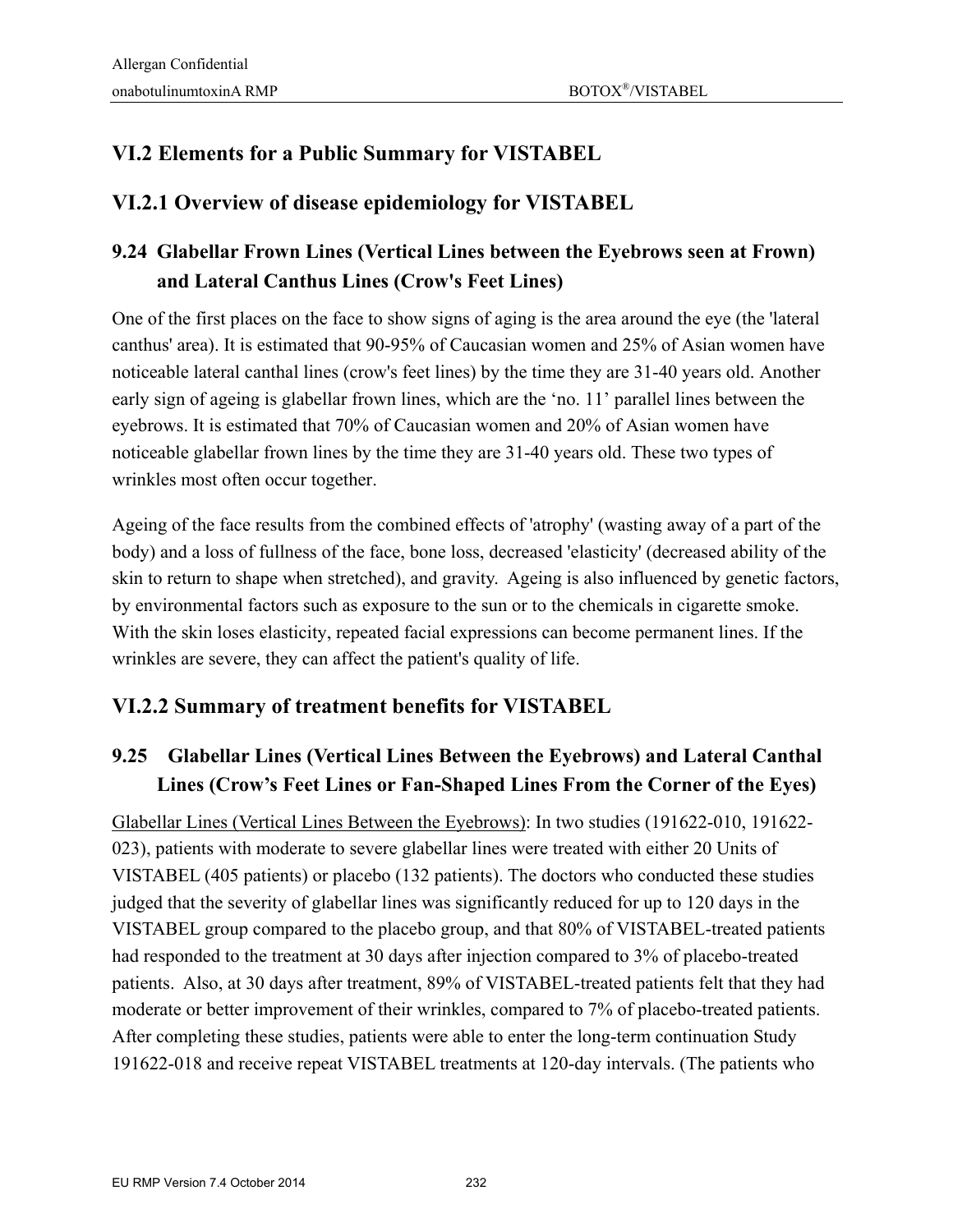## **VI.2 Elements for a Public Summary for VISTABEL**

### **VI.2.1 Overview of disease epidemiology for VISTABEL**

## **9.24 Glabellar Frown Lines (Vertical Lines between the Eyebrows seen at Frown) and Lateral Canthus Lines (Crow's Feet Lines)**

One of the first places on the face to show signs of aging is the area around the eye (the 'lateral canthus' area). It is estimated that 90-95% of Caucasian women and 25% of Asian women have noticeable lateral canthal lines (crow's feet lines) by the time they are 31-40 years old. Another early sign of ageing is glabellar frown lines, which are the 'no. 11' parallel lines between the eyebrows. It is estimated that 70% of Caucasian women and 20% of Asian women have noticeable glabellar frown lines by the time they are 31-40 years old. These two types of wrinkles most often occur together.

Ageing of the face results from the combined effects of 'atrophy' (wasting away of a part of the body) and a loss of fullness of the face, bone loss, decreased 'elasticity' (decreased ability of the skin to return to shape when stretched), and gravity. Ageing is also influenced by genetic factors, by environmental factors such as exposure to the sun or to the chemicals in cigarette smoke. With the skin loses elasticity, repeated facial expressions can become permanent lines. If the wrinkles are severe, they can affect the patient's quality of life.

### **VI.2.2 Summary of treatment benefits for VISTABEL**

### **9.25 Glabellar Lines (Vertical Lines Between the Eyebrows) and Lateral Canthal Lines (Crow's Feet Lines or Fan-Shaped Lines From the Corner of the Eyes)**

Glabellar Lines (Vertical Lines Between the Eyebrows): In two studies (191622-010, 191622- 023), patients with moderate to severe glabellar lines were treated with either 20 Units of VISTABEL (405 patients) or placebo (132 patients). The doctors who conducted these studies judged that the severity of glabellar lines was significantly reduced for up to 120 days in the VISTABEL group compared to the placebo group, and that 80% of VISTABEL-treated patients had responded to the treatment at 30 days after injection compared to 3% of placebo-treated patients. Also, at 30 days after treatment, 89% of VISTABEL-treated patients felt that they had moderate or better improvement of their wrinkles, compared to 7% of placebo-treated patients. After completing these studies, patients were able to enter the long-term continuation Study 191622-018 and receive repeat VISTABEL treatments at 120-day intervals. (The patients who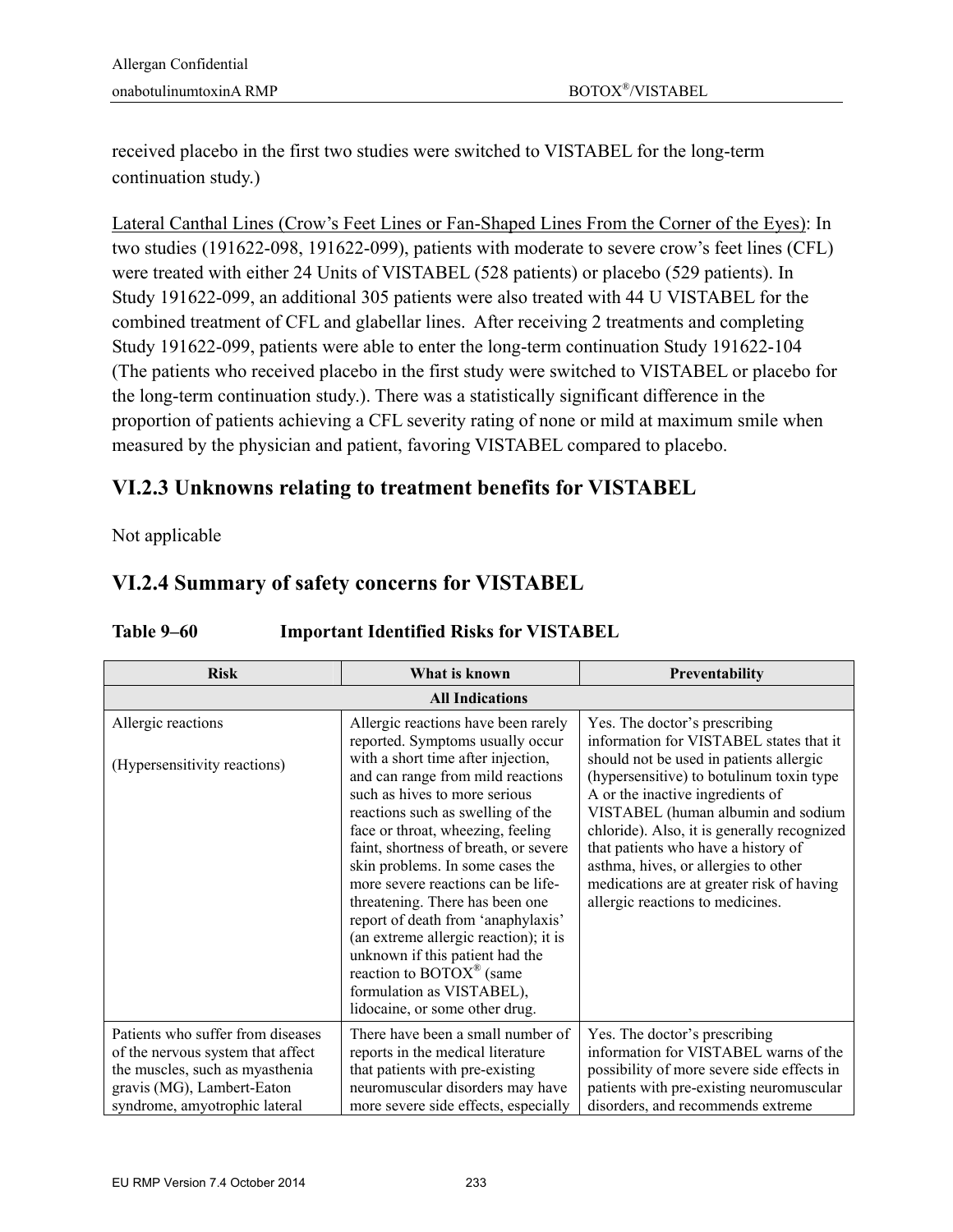received placebo in the first two studies were switched to VISTABEL for the long-term continuation study.)

Lateral Canthal Lines (Crow's Feet Lines or Fan-Shaped Lines From the Corner of the Eyes): In two studies (191622-098, 191622-099), patients with moderate to severe crow's feet lines (CFL) were treated with either 24 Units of VISTABEL (528 patients) or placebo (529 patients). In Study 191622-099, an additional 305 patients were also treated with 44 U VISTABEL for the combined treatment of CFL and glabellar lines. After receiving 2 treatments and completing Study 191622-099, patients were able to enter the long-term continuation Study 191622-104 (The patients who received placebo in the first study were switched to VISTABEL or placebo for the long-term continuation study.). There was a statistically significant difference in the proportion of patients achieving a CFL severity rating of none or mild at maximum smile when measured by the physician and patient, favoring VISTABEL compared to placebo.

### **VI.2.3 Unknowns relating to treatment benefits for VISTABEL**

Not applicable

### **VI.2.4 Summary of safety concerns for VISTABEL**

| <b>Risk</b>                                                                                                                                                              | What is known                                                                                                                                                                                                                                                                                                                                                                                                                                                                                                                                                                 | Preventability                                                                                                                                                                                                                                                                                                                                                                                                                                           |
|--------------------------------------------------------------------------------------------------------------------------------------------------------------------------|-------------------------------------------------------------------------------------------------------------------------------------------------------------------------------------------------------------------------------------------------------------------------------------------------------------------------------------------------------------------------------------------------------------------------------------------------------------------------------------------------------------------------------------------------------------------------------|----------------------------------------------------------------------------------------------------------------------------------------------------------------------------------------------------------------------------------------------------------------------------------------------------------------------------------------------------------------------------------------------------------------------------------------------------------|
|                                                                                                                                                                          | <b>All Indications</b>                                                                                                                                                                                                                                                                                                                                                                                                                                                                                                                                                        |                                                                                                                                                                                                                                                                                                                                                                                                                                                          |
| Allergic reactions<br>(Hypersensitivity reactions)                                                                                                                       | Allergic reactions have been rarely<br>reported. Symptoms usually occur<br>with a short time after injection,<br>and can range from mild reactions<br>such as hives to more serious<br>reactions such as swelling of the<br>face or throat, wheezing, feeling<br>faint, shortness of breath, or severe<br>skin problems. In some cases the<br>more severe reactions can be life-<br>threatening. There has been one<br>report of death from 'anaphylaxis'<br>(an extreme allergic reaction); it is<br>unknown if this patient had the<br>reaction to BOTOX <sup>®</sup> (same | Yes. The doctor's prescribing<br>information for VISTABEL states that it<br>should not be used in patients allergic<br>(hypersensitive) to botulinum toxin type<br>A or the inactive ingredients of<br>VISTABEL (human albumin and sodium<br>chloride). Also, it is generally recognized<br>that patients who have a history of<br>asthma, hives, or allergies to other<br>medications are at greater risk of having<br>allergic reactions to medicines. |
|                                                                                                                                                                          | formulation as VISTABEL),<br>lidocaine, or some other drug.                                                                                                                                                                                                                                                                                                                                                                                                                                                                                                                   |                                                                                                                                                                                                                                                                                                                                                                                                                                                          |
| Patients who suffer from diseases<br>of the nervous system that affect<br>the muscles, such as myasthenia<br>gravis (MG), Lambert-Eaton<br>syndrome, amyotrophic lateral | There have been a small number of<br>reports in the medical literature<br>that patients with pre-existing<br>neuromuscular disorders may have<br>more severe side effects, especially                                                                                                                                                                                                                                                                                                                                                                                         | Yes. The doctor's prescribing<br>information for VISTABEL warns of the<br>possibility of more severe side effects in<br>patients with pre-existing neuromuscular<br>disorders, and recommends extreme                                                                                                                                                                                                                                                    |

#### **Table 9–60 Important Identified Risks for VISTABEL**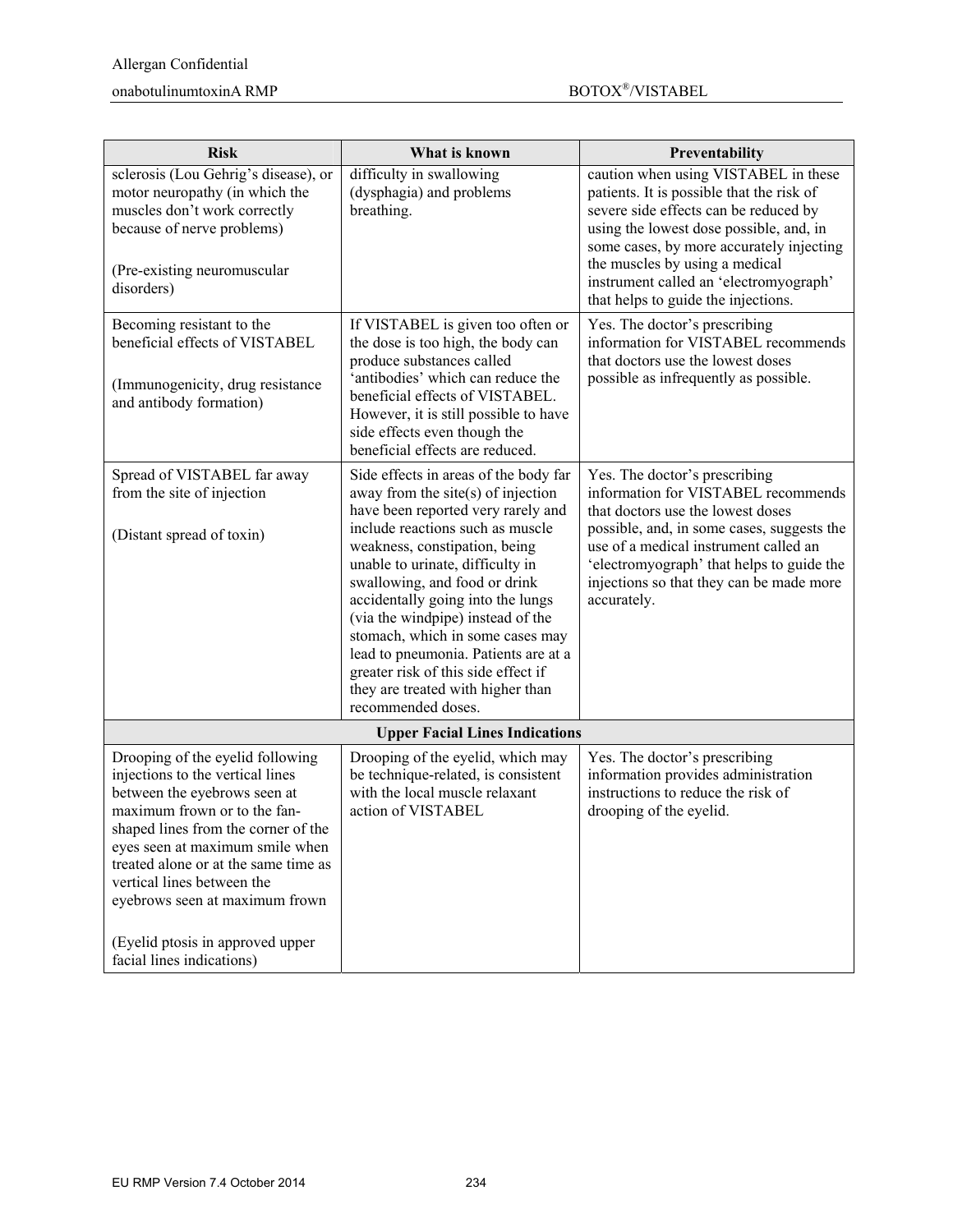#### $\mbox{nonabotulinumtoxinA}~\mbox{RMP}~~\mbox{nonabotulinumtoxinA}~\mbox{RMP}~~\mbox{nonabotulinumtoxinA}~\mbox{RMP}~~\mbox{nonabotulinumtoxinA}~\mbox{RMP}~~\mbox{nonabotulinumtovinA}~\mbox{RMP}~~\mbox{nonabotulinumtovinA}~\mbox{RMP}~~\mbox{nonabotulinumtovinA}~\mbox{RMP}~~\mbox{nonabotulinumtovinA}~\mbox{RMP}~~\mbox{nonabotulinumtovinA}~\mbox{RMP}~~\mbox{nonabotulinumtovinA}~\mbox{RMP}~~$

| <b>Risk</b>                                                                                                                                                                                                                                                                                                                                                                             | What is known                                                                                                                                                                                                                                                                                                                                                                                                                                                                                                          | Preventability                                                                                                                                                                                                                                                                                                                       |
|-----------------------------------------------------------------------------------------------------------------------------------------------------------------------------------------------------------------------------------------------------------------------------------------------------------------------------------------------------------------------------------------|------------------------------------------------------------------------------------------------------------------------------------------------------------------------------------------------------------------------------------------------------------------------------------------------------------------------------------------------------------------------------------------------------------------------------------------------------------------------------------------------------------------------|--------------------------------------------------------------------------------------------------------------------------------------------------------------------------------------------------------------------------------------------------------------------------------------------------------------------------------------|
| sclerosis (Lou Gehrig's disease), or<br>motor neuropathy (in which the<br>muscles don't work correctly<br>because of nerve problems)<br>(Pre-existing neuromuscular<br>disorders)                                                                                                                                                                                                       | difficulty in swallowing<br>(dysphagia) and problems<br>breathing.                                                                                                                                                                                                                                                                                                                                                                                                                                                     | caution when using VISTABEL in these<br>patients. It is possible that the risk of<br>severe side effects can be reduced by<br>using the lowest dose possible, and, in<br>some cases, by more accurately injecting<br>the muscles by using a medical<br>instrument called an 'electromyograph'<br>that helps to guide the injections. |
| Becoming resistant to the<br>beneficial effects of VISTABEL<br>(Immunogenicity, drug resistance<br>and antibody formation)                                                                                                                                                                                                                                                              | If VISTABEL is given too often or<br>the dose is too high, the body can<br>produce substances called<br>'antibodies' which can reduce the<br>beneficial effects of VISTABEL.<br>However, it is still possible to have<br>side effects even though the<br>beneficial effects are reduced.                                                                                                                                                                                                                               | Yes. The doctor's prescribing<br>information for VISTABEL recommends<br>that doctors use the lowest doses<br>possible as infrequently as possible.                                                                                                                                                                                   |
| Spread of VISTABEL far away<br>from the site of injection<br>(Distant spread of toxin)                                                                                                                                                                                                                                                                                                  | Side effects in areas of the body far<br>away from the site $(s)$ of injection<br>have been reported very rarely and<br>include reactions such as muscle<br>weakness, constipation, being<br>unable to urinate, difficulty in<br>swallowing, and food or drink<br>accidentally going into the lungs<br>(via the windpipe) instead of the<br>stomach, which in some cases may<br>lead to pneumonia. Patients are at a<br>greater risk of this side effect if<br>they are treated with higher than<br>recommended doses. | Yes. The doctor's prescribing<br>information for VISTABEL recommends<br>that doctors use the lowest doses<br>possible, and, in some cases, suggests the<br>use of a medical instrument called an<br>'electromyograph' that helps to guide the<br>injections so that they can be made more<br>accurately.                             |
|                                                                                                                                                                                                                                                                                                                                                                                         | <b>Upper Facial Lines Indications</b>                                                                                                                                                                                                                                                                                                                                                                                                                                                                                  |                                                                                                                                                                                                                                                                                                                                      |
| Drooping of the eyelid following<br>injections to the vertical lines<br>between the eyebrows seen at<br>maximum frown or to the fan-<br>shaped lines from the corner of the<br>eyes seen at maximum smile when<br>treated alone or at the same time as<br>vertical lines between the<br>eyebrows seen at maximum frown<br>(Eyelid ptosis in approved upper<br>facial lines indications) | Drooping of the eyelid, which may<br>be technique-related, is consistent<br>with the local muscle relaxant<br>action of VISTABEL                                                                                                                                                                                                                                                                                                                                                                                       | Yes. The doctor's prescribing<br>information provides administration<br>instructions to reduce the risk of<br>drooping of the eyelid.                                                                                                                                                                                                |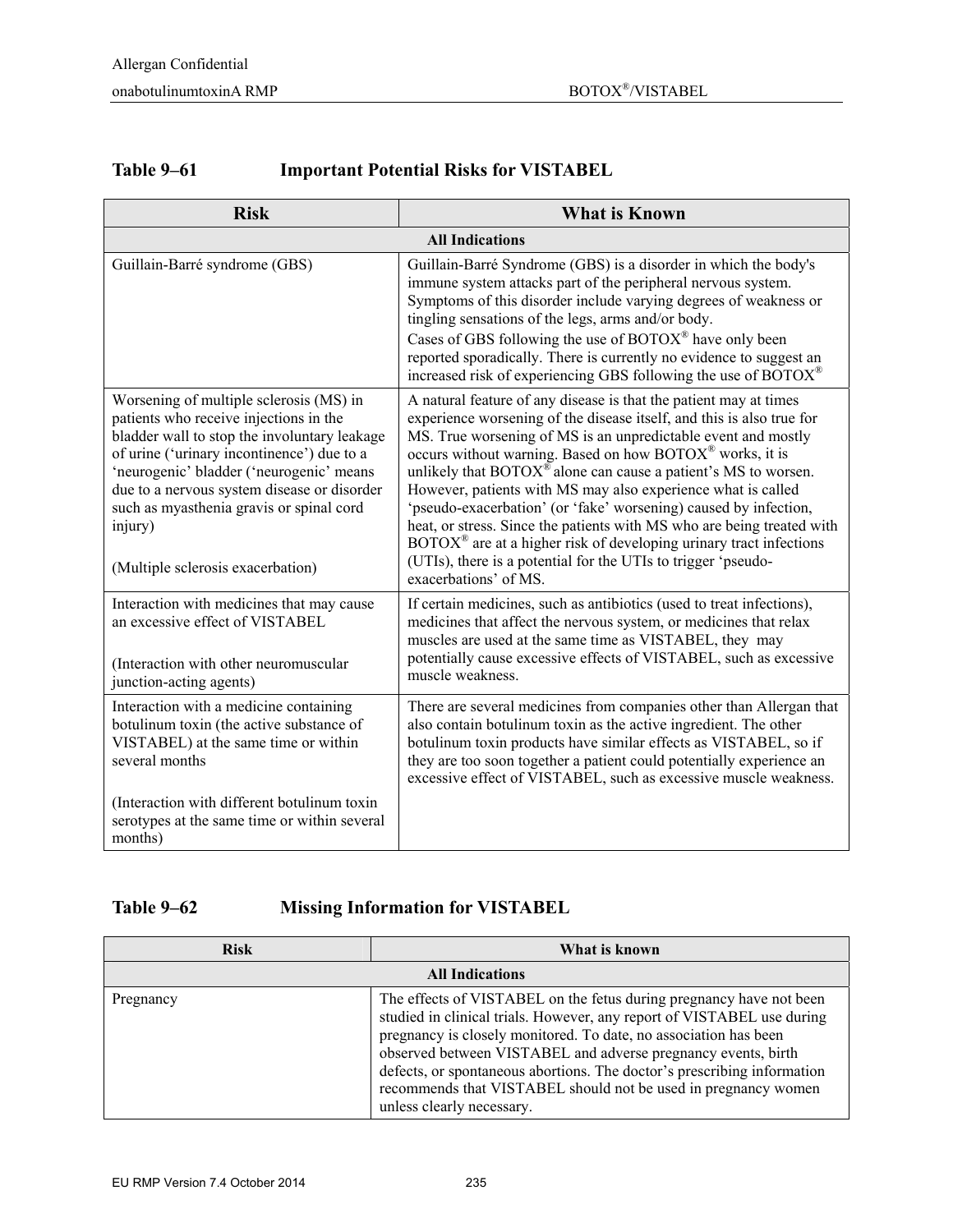| <b>Table 9–61</b> | <b>Important Potential Risks for VISTABEL</b> |
|-------------------|-----------------------------------------------|
|-------------------|-----------------------------------------------|

| <b>Risk</b>                                                                                                                                                                                                                                                                                                                                                            | <b>What is Known</b>                                                                                                                                                                                                                                                                                                                                                                                                                                                                                                                                                                                                                                                                                                                                                |  |
|------------------------------------------------------------------------------------------------------------------------------------------------------------------------------------------------------------------------------------------------------------------------------------------------------------------------------------------------------------------------|---------------------------------------------------------------------------------------------------------------------------------------------------------------------------------------------------------------------------------------------------------------------------------------------------------------------------------------------------------------------------------------------------------------------------------------------------------------------------------------------------------------------------------------------------------------------------------------------------------------------------------------------------------------------------------------------------------------------------------------------------------------------|--|
| <b>All Indications</b>                                                                                                                                                                                                                                                                                                                                                 |                                                                                                                                                                                                                                                                                                                                                                                                                                                                                                                                                                                                                                                                                                                                                                     |  |
| Guillain-Barré syndrome (GBS)                                                                                                                                                                                                                                                                                                                                          | Guillain-Barré Syndrome (GBS) is a disorder in which the body's<br>immune system attacks part of the peripheral nervous system.<br>Symptoms of this disorder include varying degrees of weakness or<br>tingling sensations of the legs, arms and/or body.<br>Cases of GBS following the use of $BOTOX^{\circledast}$ have only been<br>reported sporadically. There is currently no evidence to suggest an<br>increased risk of experiencing GBS following the use of BOTOX®                                                                                                                                                                                                                                                                                        |  |
| Worsening of multiple sclerosis (MS) in<br>patients who receive injections in the<br>bladder wall to stop the involuntary leakage<br>of urine ('urinary incontinence') due to a<br>'neurogenic' bladder ('neurogenic' means<br>due to a nervous system disease or disorder<br>such as myasthenia gravis or spinal cord<br>injury)<br>(Multiple sclerosis exacerbation) | A natural feature of any disease is that the patient may at times<br>experience worsening of the disease itself, and this is also true for<br>MS. True worsening of MS is an unpredictable event and mostly<br>occurs without warning. Based on how BOTOX® works, it is<br>unlikely that $\text{BOTOX}^{\circledast}$ alone can cause a patient's MS to worsen.<br>However, patients with MS may also experience what is called<br>'pseudo-exacerbation' (or 'fake' worsening) caused by infection,<br>heat, or stress. Since the patients with MS who are being treated with<br>$\text{BOTOX}^{\circledast}$ are at a higher risk of developing urinary tract infections<br>(UTIs), there is a potential for the UTIs to trigger 'pseudo-<br>exacerbations' of MS. |  |
| Interaction with medicines that may cause<br>an excessive effect of VISTABEL<br>(Interaction with other neuromuscular<br>junction-acting agents)                                                                                                                                                                                                                       | If certain medicines, such as antibiotics (used to treat infections),<br>medicines that affect the nervous system, or medicines that relax<br>muscles are used at the same time as VISTABEL, they may<br>potentially cause excessive effects of VISTABEL, such as excessive<br>muscle weakness.                                                                                                                                                                                                                                                                                                                                                                                                                                                                     |  |
| Interaction with a medicine containing<br>botulinum toxin (the active substance of<br>VISTABEL) at the same time or within<br>several months                                                                                                                                                                                                                           | There are several medicines from companies other than Allergan that<br>also contain botulinum toxin as the active ingredient. The other<br>botulinum toxin products have similar effects as VISTABEL, so if<br>they are too soon together a patient could potentially experience an<br>excessive effect of VISTABEL, such as excessive muscle weakness.                                                                                                                                                                                                                                                                                                                                                                                                             |  |
| (Interaction with different botulinum toxin<br>serotypes at the same time or within several<br>months)                                                                                                                                                                                                                                                                 |                                                                                                                                                                                                                                                                                                                                                                                                                                                                                                                                                                                                                                                                                                                                                                     |  |

#### **Table 9–62 Missing Information for VISTABEL**

| <b>Risk</b>            | What is known                                                                                                                                                                                                                                                                                                                                                                                                                                                |  |
|------------------------|--------------------------------------------------------------------------------------------------------------------------------------------------------------------------------------------------------------------------------------------------------------------------------------------------------------------------------------------------------------------------------------------------------------------------------------------------------------|--|
| <b>All Indications</b> |                                                                                                                                                                                                                                                                                                                                                                                                                                                              |  |
| Pregnancy              | The effects of VISTABEL on the fetus during pregnancy have not been<br>studied in clinical trials. However, any report of VISTABEL use during<br>pregnancy is closely monitored. To date, no association has been<br>observed between VISTABEL and adverse pregnancy events, birth<br>defects, or spontaneous abortions. The doctor's prescribing information<br>recommends that VISTABEL should not be used in pregnancy women<br>unless clearly necessary. |  |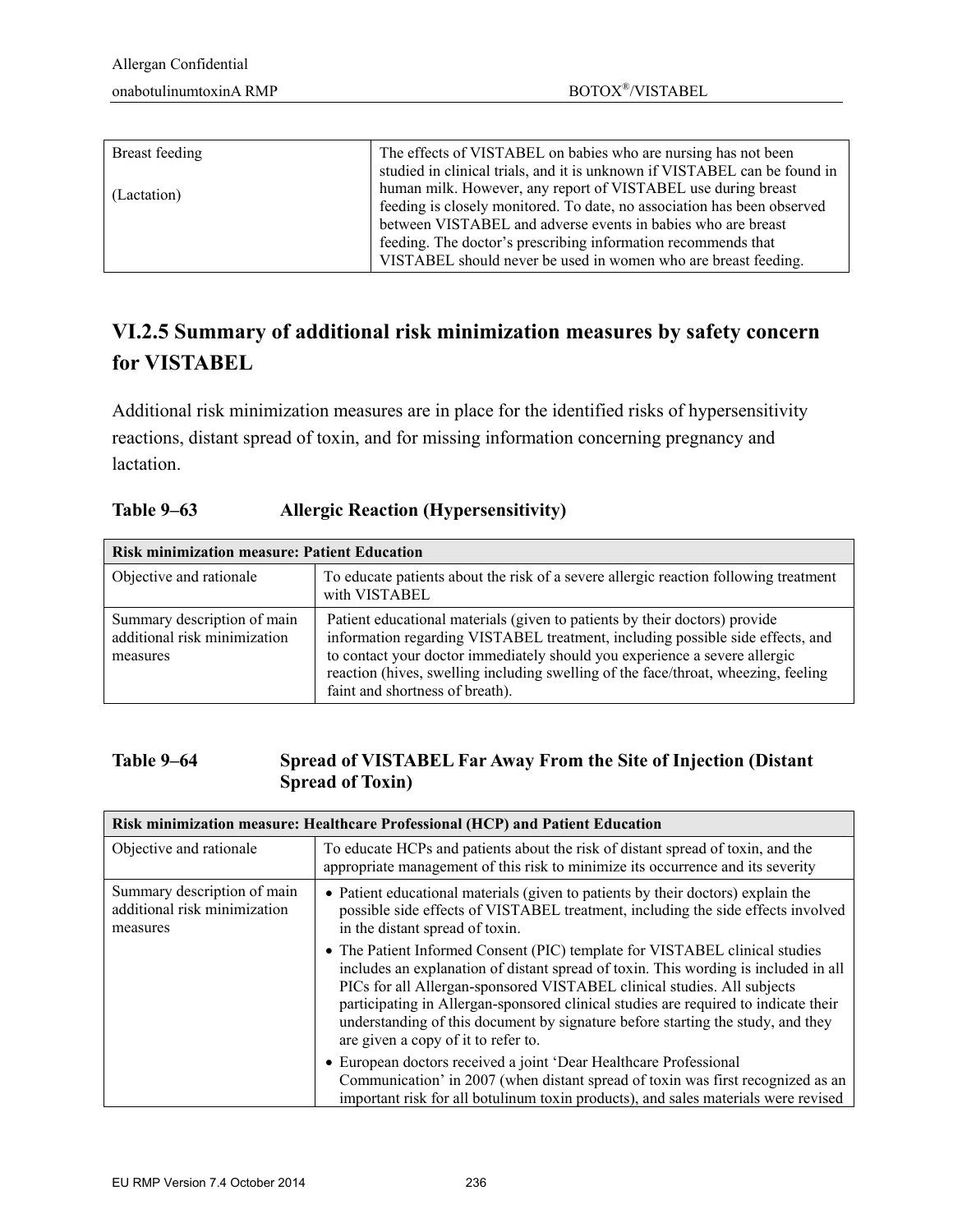| Breast feeding | The effects of VISTABEL on babies who are nursing has not been<br>studied in clinical trials, and it is unknown if VISTABEL can be found in                                                              |
|----------------|----------------------------------------------------------------------------------------------------------------------------------------------------------------------------------------------------------|
| (Lactation)    | human milk. However, any report of VISTABEL use during breast<br>feeding is closely monitored. To date, no association has been observed<br>between VISTABEL and adverse events in babies who are breast |
|                | feeding. The doctor's prescribing information recommends that<br>VISTABEL should never be used in women who are breast feeding.                                                                          |

# **VI.2.5 Summary of additional risk minimization measures by safety concern for VISTABEL**

Additional risk minimization measures are in place for the identified risks of hypersensitivity reactions, distant spread of toxin, and for missing information concerning pregnancy and lactation.

#### **Table 9–63 Allergic Reaction (Hypersensitivity)**

| <b>Risk minimization measure: Patient Education</b>                     |                                                                                                                                                                                                                                                                                                                                                                     |  |
|-------------------------------------------------------------------------|---------------------------------------------------------------------------------------------------------------------------------------------------------------------------------------------------------------------------------------------------------------------------------------------------------------------------------------------------------------------|--|
| Objective and rationale                                                 | To educate patients about the risk of a severe allergic reaction following treatment<br>with VISTABEL                                                                                                                                                                                                                                                               |  |
| Summary description of main<br>additional risk minimization<br>measures | Patient educational materials (given to patients by their doctors) provide<br>information regarding VISTABEL treatment, including possible side effects, and<br>to contact your doctor immediately should you experience a severe allergic<br>reaction (hives, swelling including swelling of the face/throat, wheezing, feeling<br>faint and shortness of breath). |  |

#### **Table 9–64 Spread of VISTABEL Far Away From the Site of Injection (Distant Spread of Toxin)**

| Risk minimization measure: Healthcare Professional (HCP) and Patient Education |                                                                                                                                                                                                                                                                                                                                                                                                                                                                |  |
|--------------------------------------------------------------------------------|----------------------------------------------------------------------------------------------------------------------------------------------------------------------------------------------------------------------------------------------------------------------------------------------------------------------------------------------------------------------------------------------------------------------------------------------------------------|--|
| Objective and rationale                                                        | To educate HCPs and patients about the risk of distant spread of toxin, and the<br>appropriate management of this risk to minimize its occurrence and its severity                                                                                                                                                                                                                                                                                             |  |
| Summary description of main<br>additional risk minimization<br>measures        | • Patient educational materials (given to patients by their doctors) explain the<br>possible side effects of VISTABEL treatment, including the side effects involved<br>in the distant spread of toxin.                                                                                                                                                                                                                                                        |  |
|                                                                                | • The Patient Informed Consent (PIC) template for VISTABEL clinical studies<br>includes an explanation of distant spread of toxin. This wording is included in all<br>PICs for all Allergan-sponsored VISTABEL clinical studies. All subjects<br>participating in Allergan-sponsored clinical studies are required to indicate their<br>understanding of this document by signature before starting the study, and they<br>are given a copy of it to refer to. |  |
|                                                                                | • European doctors received a joint 'Dear Healthcare Professional<br>Communication' in 2007 (when distant spread of toxin was first recognized as an<br>important risk for all botulinum toxin products), and sales materials were revised                                                                                                                                                                                                                     |  |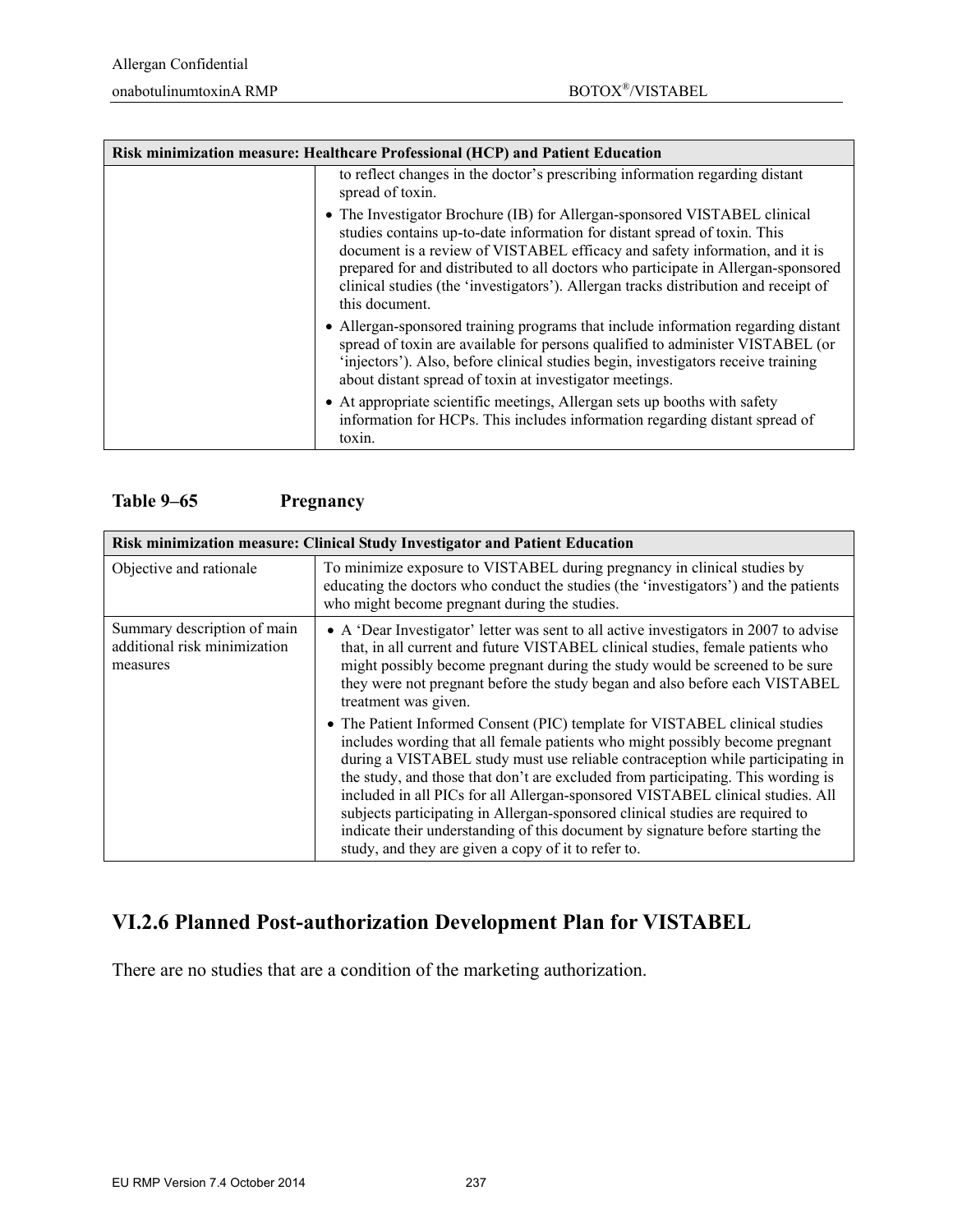| Risk minimization measure: Healthcare Professional (HCP) and Patient Education |                                                                                                                                                                                                                                                                                                                                                                                                                                     |  |
|--------------------------------------------------------------------------------|-------------------------------------------------------------------------------------------------------------------------------------------------------------------------------------------------------------------------------------------------------------------------------------------------------------------------------------------------------------------------------------------------------------------------------------|--|
|                                                                                | to reflect changes in the doctor's prescribing information regarding distant<br>spread of toxin.                                                                                                                                                                                                                                                                                                                                    |  |
|                                                                                | • The Investigator Brochure (IB) for Allergan-sponsored VISTABEL clinical<br>studies contains up-to-date information for distant spread of toxin. This<br>document is a review of VISTABEL efficacy and safety information, and it is<br>prepared for and distributed to all doctors who participate in Allergan-sponsored<br>clinical studies (the 'investigators'). Allergan tracks distribution and receipt of<br>this document. |  |
|                                                                                | • Allergan-sponsored training programs that include information regarding distant<br>spread of toxin are available for persons qualified to administer VISTABEL (or<br>'injectors'). Also, before clinical studies begin, investigators receive training<br>about distant spread of toxin at investigator meetings.                                                                                                                 |  |
|                                                                                | • At appropriate scientific meetings, Allergan sets up booths with safety<br>information for HCPs. This includes information regarding distant spread of<br>toxin.                                                                                                                                                                                                                                                                  |  |

#### **Table 9–65 Pregnancy**

| Risk minimization measure: Clinical Study Investigator and Patient Education |                                                                                                                                                                                                                                                                                                                                                                                                                                                                                                                                                                                                                                                                                                     |  |
|------------------------------------------------------------------------------|-----------------------------------------------------------------------------------------------------------------------------------------------------------------------------------------------------------------------------------------------------------------------------------------------------------------------------------------------------------------------------------------------------------------------------------------------------------------------------------------------------------------------------------------------------------------------------------------------------------------------------------------------------------------------------------------------------|--|
| Objective and rationale                                                      | To minimize exposure to VISTABEL during pregnancy in clinical studies by<br>educating the doctors who conduct the studies (the 'investigators') and the patients<br>who might become pregnant during the studies.                                                                                                                                                                                                                                                                                                                                                                                                                                                                                   |  |
| Summary description of main<br>additional risk minimization<br>measures      | • A 'Dear Investigator' letter was sent to all active investigators in 2007 to advise<br>that, in all current and future VISTABEL clinical studies, female patients who<br>might possibly become pregnant during the study would be screened to be sure<br>they were not pregnant before the study began and also before each VISTABEL<br>treatment was given.<br>• The Patient Informed Consent (PIC) template for VISTABEL clinical studies<br>includes wording that all female patients who might possibly become pregnant<br>during a VISTABEL study must use reliable contraception while participating in<br>the study, and those that don't are excluded from participating. This wording is |  |
|                                                                              | included in all PICs for all Allergan-sponsored VISTABEL clinical studies. All<br>subjects participating in Allergan-sponsored clinical studies are required to<br>indicate their understanding of this document by signature before starting the<br>study, and they are given a copy of it to refer to.                                                                                                                                                                                                                                                                                                                                                                                            |  |

### **VI.2.6 Planned Post-authorization Development Plan for VISTABEL**

There are no studies that are a condition of the marketing authorization.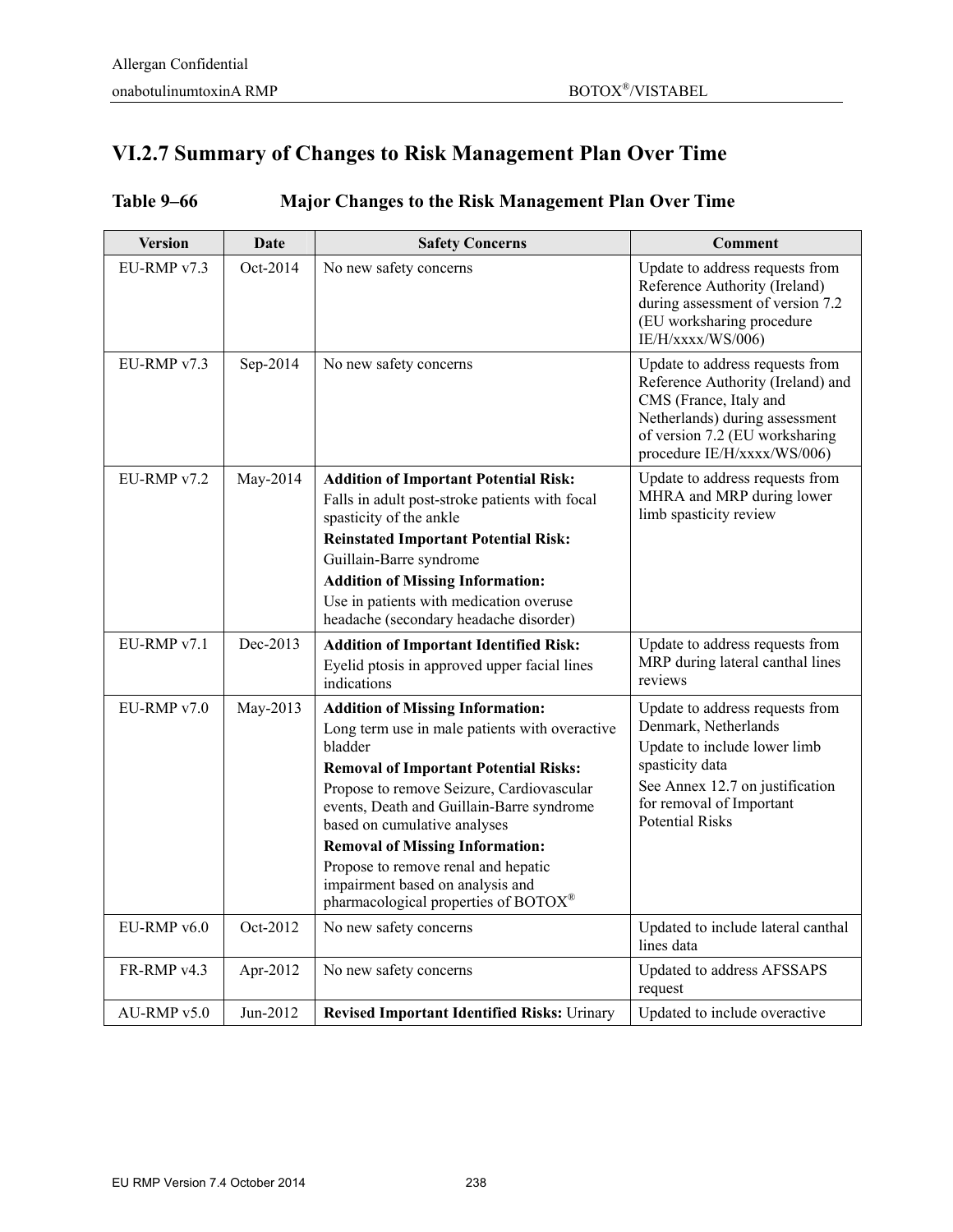## **VI.2.7 Summary of Changes to Risk Management Plan Over Time**

| <b>Version</b> | Date     | <b>Safety Concerns</b>                                                                                                                                                                                                                                                                                                                                                                                                                      | <b>Comment</b>                                                                                                                                                                                      |
|----------------|----------|---------------------------------------------------------------------------------------------------------------------------------------------------------------------------------------------------------------------------------------------------------------------------------------------------------------------------------------------------------------------------------------------------------------------------------------------|-----------------------------------------------------------------------------------------------------------------------------------------------------------------------------------------------------|
| EU-RMP v7.3    | Oct-2014 | No new safety concerns                                                                                                                                                                                                                                                                                                                                                                                                                      | Update to address requests from<br>Reference Authority (Ireland)<br>during assessment of version 7.2<br>(EU worksharing procedure<br>IE/H/xxxx/WS/006)                                              |
| EU-RMP v7.3    | Sep-2014 | No new safety concerns                                                                                                                                                                                                                                                                                                                                                                                                                      | Update to address requests from<br>Reference Authority (Ireland) and<br>CMS (France, Italy and<br>Netherlands) during assessment<br>of version 7.2 (EU worksharing<br>procedure IE/H/xxxx/WS/006)   |
| EU-RMP v7.2    | May-2014 | <b>Addition of Important Potential Risk:</b><br>Falls in adult post-stroke patients with focal<br>spasticity of the ankle                                                                                                                                                                                                                                                                                                                   | Update to address requests from<br>MHRA and MRP during lower<br>limb spasticity review                                                                                                              |
|                |          | <b>Reinstated Important Potential Risk:</b>                                                                                                                                                                                                                                                                                                                                                                                                 |                                                                                                                                                                                                     |
|                |          | Guillain-Barre syndrome                                                                                                                                                                                                                                                                                                                                                                                                                     |                                                                                                                                                                                                     |
|                |          | <b>Addition of Missing Information:</b>                                                                                                                                                                                                                                                                                                                                                                                                     |                                                                                                                                                                                                     |
|                |          | Use in patients with medication overuse<br>headache (secondary headache disorder)                                                                                                                                                                                                                                                                                                                                                           |                                                                                                                                                                                                     |
| EU-RMP v7.1    | Dec-2013 | <b>Addition of Important Identified Risk:</b><br>Eyelid ptosis in approved upper facial lines<br>indications                                                                                                                                                                                                                                                                                                                                | Update to address requests from<br>MRP during lateral canthal lines<br>reviews                                                                                                                      |
| EU-RMP v7.0    | May-2013 | <b>Addition of Missing Information:</b><br>Long term use in male patients with overactive<br>bladder<br><b>Removal of Important Potential Risks:</b><br>Propose to remove Seizure, Cardiovascular<br>events, Death and Guillain-Barre syndrome<br>based on cumulative analyses<br><b>Removal of Missing Information:</b><br>Propose to remove renal and hepatic<br>impairment based on analysis and<br>pharmacological properties of BOTOX® | Update to address requests from<br>Denmark, Netherlands<br>Update to include lower limb<br>spasticity data<br>See Annex 12.7 on justification<br>for removal of Important<br><b>Potential Risks</b> |
| EU-RMP v6.0    | Oct-2012 | No new safety concerns                                                                                                                                                                                                                                                                                                                                                                                                                      | Updated to include lateral canthal<br>lines data                                                                                                                                                    |
| FR-RMP v4.3    | Apr-2012 | No new safety concerns                                                                                                                                                                                                                                                                                                                                                                                                                      | Updated to address AFSSAPS<br>request                                                                                                                                                               |
| AU-RMP v5.0    | Jun-2012 | <b>Revised Important Identified Risks: Urinary</b>                                                                                                                                                                                                                                                                                                                                                                                          | Updated to include overactive                                                                                                                                                                       |

### **Table 9–66 Major Changes to the Risk Management Plan Over Time**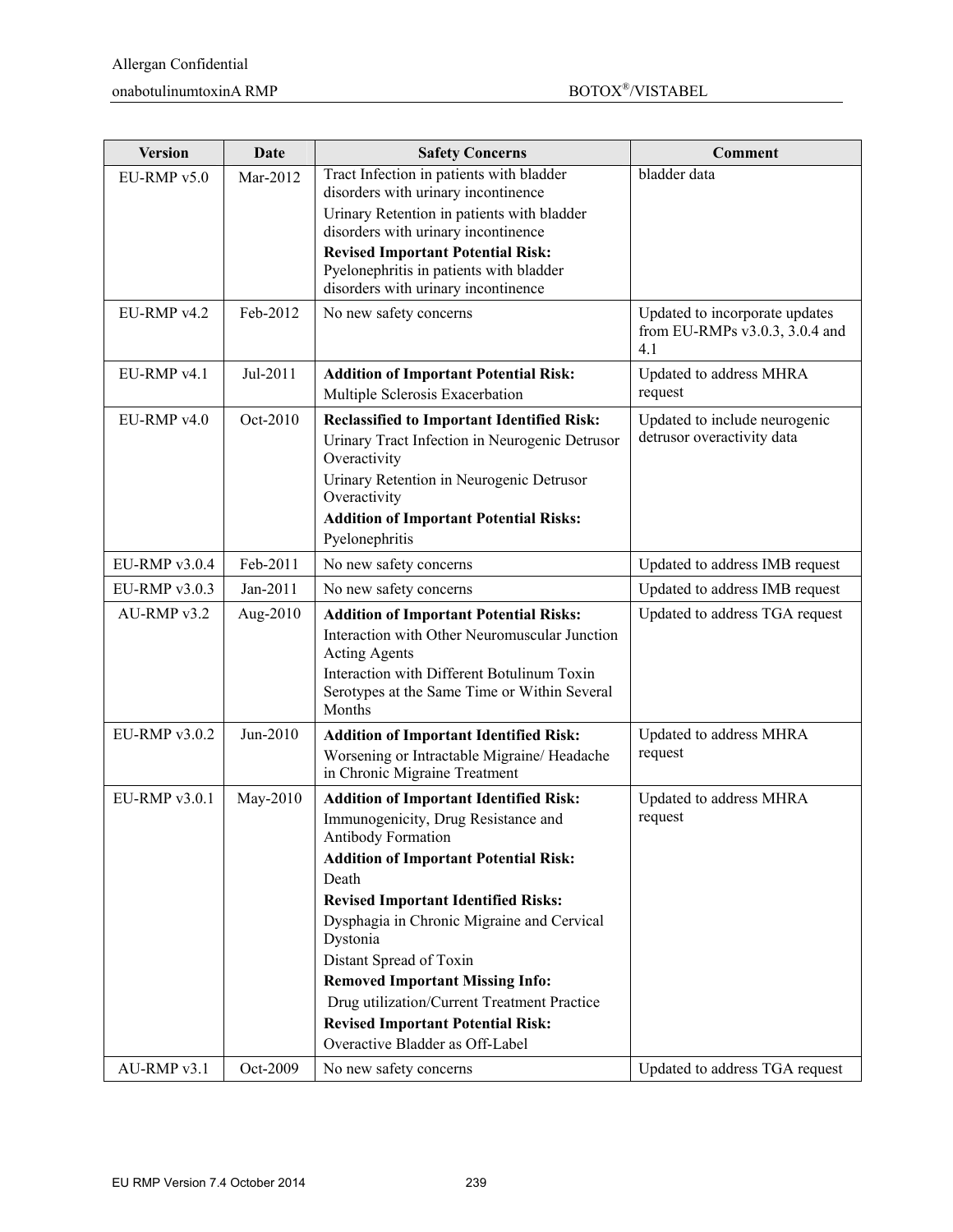| <b>Version</b> | Date       | <b>Safety Concerns</b>                                                                                                                                                                                                                                                                                                                                                                                                                                                                | <b>Comment</b>                                                          |
|----------------|------------|---------------------------------------------------------------------------------------------------------------------------------------------------------------------------------------------------------------------------------------------------------------------------------------------------------------------------------------------------------------------------------------------------------------------------------------------------------------------------------------|-------------------------------------------------------------------------|
| $EU-RMPv5.0$   | Mar-2012   | Tract Infection in patients with bladder<br>disorders with urinary incontinence<br>Urinary Retention in patients with bladder<br>disorders with urinary incontinence<br><b>Revised Important Potential Risk:</b>                                                                                                                                                                                                                                                                      | bladder data                                                            |
|                |            | Pyelonephritis in patients with bladder<br>disorders with urinary incontinence                                                                                                                                                                                                                                                                                                                                                                                                        |                                                                         |
| EU-RMP v4.2    | Feb-2012   | No new safety concerns                                                                                                                                                                                                                                                                                                                                                                                                                                                                | Updated to incorporate updates<br>from EU-RMPs v3.0.3, 3.0.4 and<br>4.1 |
| EU-RMP v4.1    | Jul-2011   | <b>Addition of Important Potential Risk:</b><br>Multiple Sclerosis Exacerbation                                                                                                                                                                                                                                                                                                                                                                                                       | Updated to address MHRA<br>request                                      |
| $EU-RMPv4.0$   | Oct-2010   | <b>Reclassified to Important Identified Risk:</b><br>Urinary Tract Infection in Neurogenic Detrusor<br>Overactivity<br>Urinary Retention in Neurogenic Detrusor<br>Overactivity<br><b>Addition of Important Potential Risks:</b><br>Pyelonephritis                                                                                                                                                                                                                                    | Updated to include neurogenic<br>detrusor overactivity data             |
| EU-RMP v3.0.4  | Feb-2011   | No new safety concerns                                                                                                                                                                                                                                                                                                                                                                                                                                                                | Updated to address IMB request                                          |
| $EU-RMPv3.0.3$ | $Jan-2011$ | No new safety concerns                                                                                                                                                                                                                                                                                                                                                                                                                                                                | Updated to address IMB request                                          |
| AU-RMP v3.2    | Aug-2010   | <b>Addition of Important Potential Risks:</b><br>Interaction with Other Neuromuscular Junction<br><b>Acting Agents</b><br>Interaction with Different Botulinum Toxin<br>Serotypes at the Same Time or Within Several<br>Months                                                                                                                                                                                                                                                        | Updated to address TGA request                                          |
| EU-RMP v3.0.2  | Jun-2010   | <b>Addition of Important Identified Risk:</b><br>Worsening or Intractable Migraine/ Headache<br>in Chronic Migraine Treatment                                                                                                                                                                                                                                                                                                                                                         | Updated to address MHRA<br>request                                      |
| EU-RMP v3.0.1  | May-2010   | <b>Addition of Important Identified Risk:</b><br>Immunogenicity, Drug Resistance and<br><b>Antibody Formation</b><br><b>Addition of Important Potential Risk:</b><br>Death<br><b>Revised Important Identified Risks:</b><br>Dysphagia in Chronic Migraine and Cervical<br>Dystonia<br>Distant Spread of Toxin<br><b>Removed Important Missing Info:</b><br>Drug utilization/Current Treatment Practice<br><b>Revised Important Potential Risk:</b><br>Overactive Bladder as Off-Label | Updated to address MHRA<br>request                                      |
| AU-RMP v3.1    | Oct-2009   | No new safety concerns                                                                                                                                                                                                                                                                                                                                                                                                                                                                | Updated to address TGA request                                          |